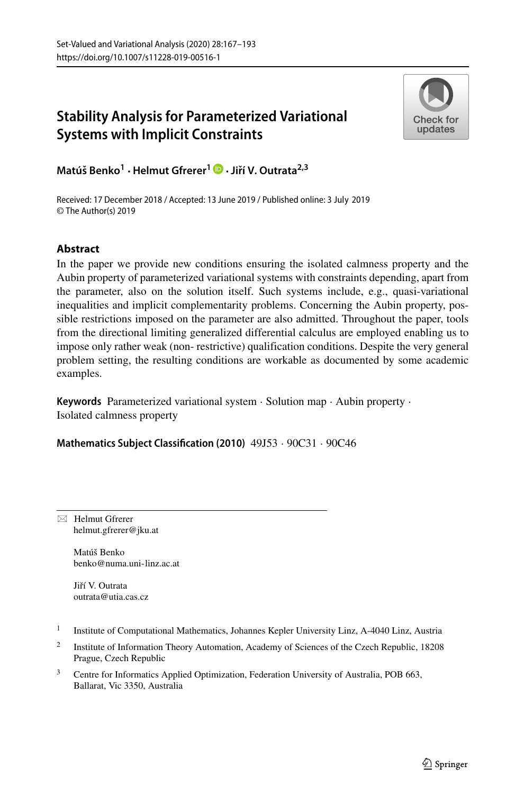# **Stability Analysis for Parameterized Variational Systems with Implicit Constraints**



**Matu´ s Benko <sup>ˇ</sup> <sup>1</sup> ·Helmut Gfrerer<sup>1</sup> ·Jirˇ´ı V. Outrata2,3**

Received: 17 December 2018 / Accepted: 13 June 2019 / Published online: 3 July 2019© The Author(s) 2019

# **Abstract**

In the paper we provide new conditions ensuring the isolated calmness property and the Aubin property of parameterized variational systems with constraints depending, apart from the parameter, also on the solution itself. Such systems include, e.g., quasi-variational inequalities and implicit complementarity problems. Concerning the Aubin property, possible restrictions imposed on the parameter are also admitted. Throughout the paper, tools from the directional limiting generalized differential calculus are employed enabling us to impose only rather weak (non- restrictive) qualification conditions. Despite the very general problem setting, the resulting conditions are workable as documented by some academic examples.

**Keywords** Parameterized variational system · Solution map · Aubin property · Isolated calmness property

**Mathematics Subject Classification (2010)** 49J53 · 90C31 · 90C46

 $\boxtimes$  Helmut Gfrerer [helmut.gfrerer@jku.at](mailto: helmut.gfrerer@jku.at)

> Matúš Benko [benko@numa.uni-linz.ac.at](mailto: benko@numa.uni-linz.ac.at)

Jiří V. Outrata [outrata@utia.cas.cz](mailto: outrata@utia.cas.cz)

- <sup>1</sup> Institute of Computational Mathematics, Johannes Kepler University Linz, A-4040 Linz, Austria
- <sup>2</sup> Institute of Information Theory Automation, Academy of Sciences of the Czech Republic, 18208 Prague, Czech Republic
- <sup>3</sup> Centre for Informatics Applied Optimization, Federation University of Australia, POB 663, Ballarat, Vic 3350, Australia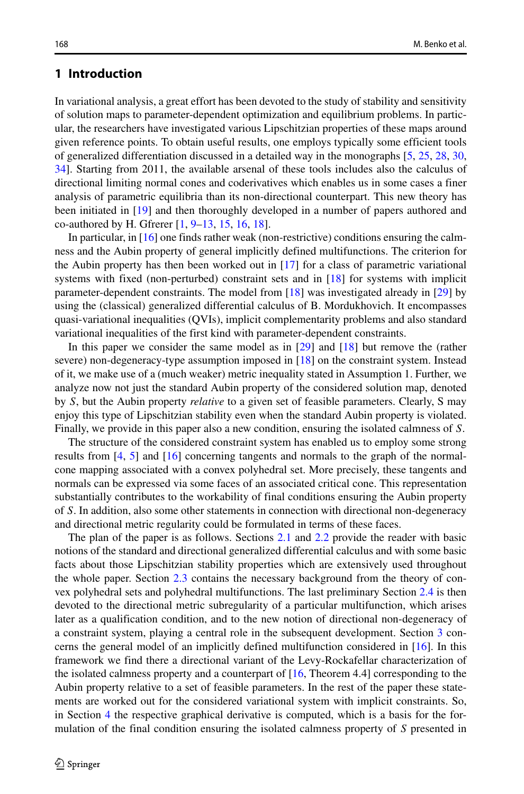### **1 Introduction**

In variational analysis, a great effort has been devoted to the study of stability and sensitivity of solution maps to parameter-dependent optimization and equilibrium problems. In particular, the researchers have investigated various Lipschitzian properties of these maps around given reference points. To obtain useful results, one employs typically some efficient tools of generalized differentiation discussed in a detailed way in the monographs [\[5,](#page-25-0) [25,](#page-25-1) [28,](#page-25-2) [30,](#page-25-3) [34\]](#page-26-0). Starting from 2011, the available arsenal of these tools includes also the calculus of directional limiting normal cones and coderivatives which enables us in some cases a finer analysis of parametric equilibria than its non-directional counterpart. This new theory has been initiated in [\[19\]](#page-25-4) and then thoroughly developed in a number of papers authored and co-authored by H. Gfrerer [\[1,](#page-25-5) [9–](#page-25-6)[13,](#page-25-7) [15,](#page-25-8) [16,](#page-25-9) [18\]](#page-25-10).

In particular, in  $[16]$  one finds rather weak (non-restrictive) conditions ensuring the calmness and the Aubin property of general implicitly defined multifunctions. The criterion for the Aubin property has then been worked out in [\[17\]](#page-25-11) for a class of parametric variational systems with fixed (non-perturbed) constraint sets and in [\[18\]](#page-25-10) for systems with implicit parameter-dependent constraints. The model from [\[18\]](#page-25-10) was investigated already in [\[29\]](#page-25-12) by using the (classical) generalized differential calculus of B. Mordukhovich. It encompasses quasi-variational inequalities (QVIs), implicit complementarity problems and also standard variational inequalities of the first kind with parameter-dependent constraints.

In this paper we consider the same model as in [\[29\]](#page-25-12) and [\[18\]](#page-25-10) but remove the (rather severe) non-degeneracy-type assumption imposed in [\[18\]](#page-25-10) on the constraint system. Instead of it, we make use of a (much weaker) metric inequality stated in Assumption 1. Further, we analyze now not just the standard Aubin property of the considered solution map, denoted by *S*, but the Aubin property *relative* to a given set of feasible parameters. Clearly, S may enjoy this type of Lipschitzian stability even when the standard Aubin property is violated. Finally, we provide in this paper also a new condition, ensuring the isolated calmness of *S*.

The structure of the considered constraint system has enabled us to employ some strong results from [\[4,](#page-25-13) [5\]](#page-25-0) and [\[16\]](#page-25-9) concerning tangents and normals to the graph of the normalcone mapping associated with a convex polyhedral set. More precisely, these tangents and normals can be expressed via some faces of an associated critical cone. This representation substantially contributes to the workability of final conditions ensuring the Aubin property of *S*. In addition, also some other statements in connection with directional non-degeneracy and directional metric regularity could be formulated in terms of these faces.

The plan of the paper is as follows. Sections [2.1](#page-2-0) and [2.2](#page-3-0) provide the reader with basic notions of the standard and directional generalized differential calculus and with some basic facts about those Lipschitzian stability properties which are extensively used throughout the whole paper. Section [2.3](#page-6-0) contains the necessary background from the theory of convex polyhedral sets and polyhedral multifunctions. The last preliminary Section [2.4](#page-7-0) is then devoted to the directional metric subregularity of a particular multifunction, which arises later as a qualification condition, and to the new notion of directional non-degeneracy of a constraint system, playing a central role in the subsequent development. Section [3](#page-9-0) concerns the general model of an implicitly defined multifunction considered in [\[16\]](#page-25-9). In this framework we find there a directional variant of the Levy-Rockafellar characterization of the isolated calmness property and a counterpart of  $[16,$  Theorem 4.4] corresponding to the Aubin property relative to a set of feasible parameters. In the rest of the paper these statements are worked out for the considered variational system with implicit constraints. So, in Section [4](#page-12-0) the respective graphical derivative is computed, which is a basis for the formulation of the final condition ensuring the isolated calmness property of *S* presented in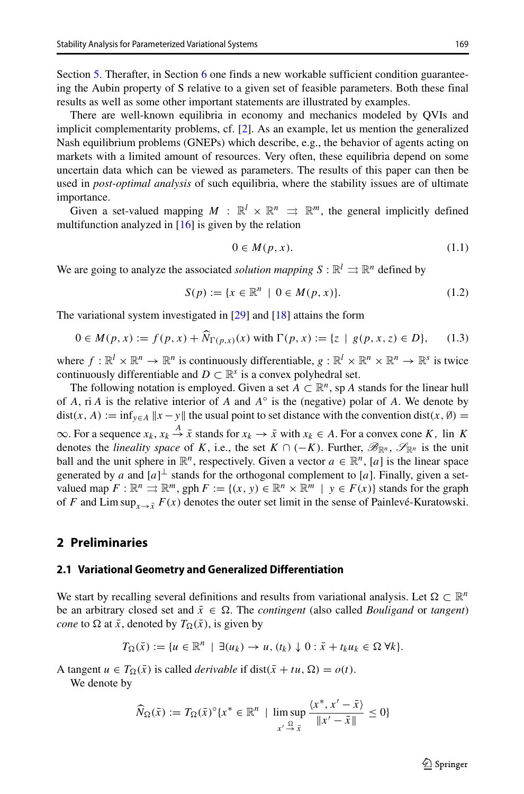There are well-known equilibria in economy and mechanics modeled by QVIs and implicit complementarity problems, cf. [\[2\]](#page-25-14). As an example, let us mention the generalized Nash equilibrium problems (GNEPs) which describe, e.g., the behavior of agents acting on markets with a limited amount of resources. Very often, these equilibria depend on some uncertain data which can be viewed as parameters. The results of this paper can then be used in *post-optimal analysis* of such equilibria, where the stability issues are of ultimate importance.

Given a set-valued mapping  $M : \mathbb{R}^l \times \mathbb{R}^n \implies \mathbb{R}^m$ , the general implicitly defined multifunction analyzed in [\[16\]](#page-25-9) is given by the relation

$$
0 \in M(p, x). \tag{1.1}
$$

We are going to analyze the associated *solution mapping*  $S : \mathbb{R}^l \rightrightarrows \mathbb{R}^n$  defined by

<span id="page-2-1"></span>
$$
S(p) := \{ x \in \mathbb{R}^n \mid 0 \in M(p, x) \}. \tag{1.2}
$$

<span id="page-2-2"></span>The variational system investigated in [\[29\]](#page-25-12) and [\[18\]](#page-25-10) attains the form

$$
S(p) := \{x \in \mathbb{R}^n \mid \sigma \in M(p, x)\}.
$$
  
variational system investigated in [29] and [18] attains the form  

$$
0 \in M(p, x) := f(p, x) + \widehat{N}_{\Gamma(p, x)}(x) \text{ with } \Gamma(p, x) := \{z \mid g(p, x, z) \in D\}, \qquad (1.3)
$$

where  $f: \mathbb{R}^l \times \mathbb{R}^n \to \mathbb{R}^n$  is continuously differentiable,  $g: \mathbb{R}^l \times \mathbb{R}^n \times \mathbb{R}^n \to \mathbb{R}^s$  is twice continuously differentiable and  $D \subset \mathbb{R}^s$  is a convex polyhedral set.

The following notation is employed. Given a set  $A \subset \mathbb{R}^n$ , sp *A* stands for the linear hull of *A*, ri *A* is the relative interior of *A* and *A*◦ is the (negative) polar of *A*. We denote by  $dist(x, A) := \inf_{y \in A} ||x - y||$  the usual point to set distance with the convention dist $(x, \emptyset) =$  $\infty$ . For a sequence  $x_k$ ,  $x_k \stackrel{A}{\rightarrow} \bar{x}$  stands for  $x_k \rightarrow \bar{x}$  with  $x_k \in A$ . For a convex cone *K*, lin *K* denotes the *lineality space* of *K*, i.e., the set  $K \cap (-K)$ . Further,  $\mathscr{B}_{\mathbb{R}^n}$ ,  $\mathscr{S}_{\mathbb{R}^n}$  is the unit ball and the unit sphere in  $\mathbb{R}^n$ , respectively. Given a vector  $a \in \mathbb{R}^n$ , [*a*] is the linear space generated by *a* and  $[a]$ <sup> $\perp$ </sup> stands for the orthogonal complement to [*a*]. Finally, given a setvalued map  $F : \mathbb{R}^n \implies \mathbb{R}^m$ , gph  $F := \{(x, y) \in \mathbb{R}^n \times \mathbb{R}^m \mid y \in F(x)\}$  stands for the graph of *F* and Lim sup<sub>*x*→  $\bar{r}$ </sub>  $F(x)$  denotes the outer set limit in the sense of Painlevé-Kuratowski.

### <span id="page-2-0"></span>**2 Preliminaries**

#### **2.1 Variational Geometry and Generalized Differentiation**

We start by recalling several definitions and results from variational analysis. Let  $\Omega \subset \mathbb{R}^n$ be an arbitrary closed set and  $\bar{x} \in \Omega$ . The *contingent* (also called *Bouligand* or *tangent*) *cone* to  $\Omega$  at  $\bar{x}$ , denoted by  $T_{\Omega}(\bar{x})$ , is given by

$$
T_{\Omega}(\bar{x}) := \{ u \in \mathbb{R}^n \mid \exists (u_k) \to u, (t_k) \downarrow 0 : \bar{x} + t_k u_k \in \Omega \,\forall k \}.
$$

A tangent  $u \in T_{\Omega}(\bar{x})$  is called *derivable* if dist $(\bar{x} + tu, \Omega) = o(t)$ .

We denote by

$$
\widehat{N}_{\Omega}(\bar{x}) := T_{\Omega}(\bar{x})^{\circ} \{ x^* \in \mathbb{R}^n \mid \limsup_{x' \to \bar{x}} \frac{\langle x^*, x' - \bar{x} \rangle}{\|x' - \bar{x}\|} \le 0 \}
$$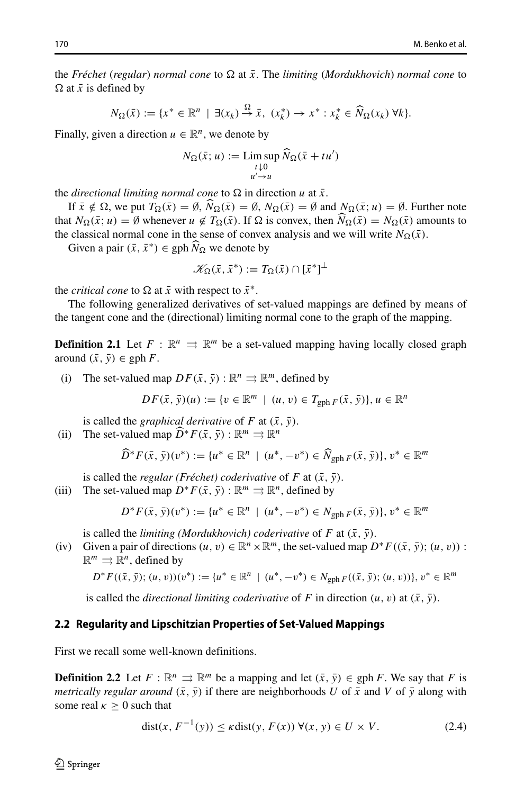the *Fréchet* (*regular*) *normal cone* to  $\Omega$  at  $\bar{x}$ . The *limiting* (*Mordukhovich*) *normal cone* to  $\Omega$  at  $\bar{x}$  is defined by<br>  $N_{\Omega}(\bar{x}) := \{x^* \in \mathbb{R}^n \mid \exists (x_k) \stackrel{\Omega}{\to} \bar{x}, (x_k^*) \to x^* : x_k^* \in \widehat{N}_{\Omega}(x_k) \forall k\}.$  $\Omega$  at  $\bar{x}$  is defined by

$$
N_{\Omega}(\bar{x}) := \{x^* \in \mathbb{R}^n \mid \exists (x_k) \stackrel{\Omega}{\to} \bar{x}, \ (x_k^*) \to x^* : x_k^* \in \widehat{N}_{\Omega}(x_k) \ \forall k\}.
$$

Finally, given a direction  $u \in \mathbb{R}^n$ , we denote by

$$
\exists \mathbb{R} \quad | \quad \exists (x_k) \to x, \quad (x_k) \to x \quad : x_k
$$
\n
$$
\in \mathbb{R}^n, \text{ we denote by}
$$
\n
$$
N_{\Omega}(\bar{x}; u) := \limsup_{\substack{t \downarrow 0 \\ u' \to u}} \widehat{N}_{\Omega}(\bar{x} + tu')
$$

the *directional limiting normal cone* to  $\Omega$  in direction *u* at  $\bar{x}$ .

 $u' \rightarrow u$ <br>directional limiting normal cone to  $\Omega$  in direction *u* at  $\bar{x}$ .<br>If  $\bar{x} \notin \Omega$ , we put  $T_{\Omega}(\bar{x}) = \emptyset$ ,  $\widehat{N}_{\Omega}(\bar{x}) = \emptyset$ ,  $N_{\Omega}(\bar{x}) = \emptyset$  and  $N_{\Omega}(\bar{x}; u) = \emptyset$ . Further note the *directional limiting normal cone* to  $\Omega$  in direction *u* at  $\bar{x}$ .<br>
If  $\bar{x} \notin \Omega$ , we put  $T_{\Omega}(\bar{x}) = \emptyset$ ,  $\widehat{N}_{\Omega}(\bar{x}) = \emptyset$ ,  $N_{\Omega}(\bar{x}) = \emptyset$  and  $N_{\Omega}(\bar{x}; u) = \emptyset$ . Further note<br>
that  $N_{\Omega}(\bar{x}; u) = \emptyset$  whenever the classical normal cone in the sense of convex analysis and we will write  $N_{\Omega}(\bar{x})$ . If  $x \notin \Omega$ , we put  $I_{\Omega}(x) = \emptyset$ ,<br>  $t N_{\Omega}(\bar{x}; u) = \emptyset$  whenever *u*<br>
classical normal cone in the<br>
Given a pair  $(\bar{x}, \bar{x}^*) \in \text{gph } \widehat{N}$ ;

Given a pair  $(\bar{x}, \bar{x}^*) \in \text{gph } N_{\Omega}$  we denote by

$$
\mathscr{K}_{\Omega}(\bar{x}, \bar{x}^*) := T_{\Omega}(\bar{x}) \cap [\bar{x}^*]^{\perp}
$$

the *critical cone* to  $\Omega$  at  $\bar{x}$  with respect to  $\bar{x}^*$ .

The following generalized derivatives of set-valued mappings are defined by means of the tangent cone and the (directional) limiting normal cone to the graph of the mapping.

**Definition 2.1** Let  $F : \mathbb{R}^n \implies \mathbb{R}^m$  be a set-valued mapping having locally closed graph around  $(\bar{x}, \bar{y}) \in \text{gph } F$ .

(i) The set-valued map  $DF(\bar{x}, \bar{y}) : \mathbb{R}^n \implies \mathbb{R}^m$ , defined by

$$
DF(\bar{x}, \bar{y})(u) := \{v \in \mathbb{R}^m \mid (u, v) \in T_{\mathrm{gph}\, F}(\bar{x}, \bar{y})\}, u \in \mathbb{R}^n
$$

 $DF(\bar{x}, \bar{y})(u) := \{v \in \mathbb{R}^m \mid (u) \}$ <br>is called the *graphical derivative* of *F* at  $(\bar{x})$ <br>(ii) The set-valued map  $\widehat{D}^*F(\bar{x}, \bar{y}) : \mathbb{R}^m \implies \mathbb{R}^n$ 

is called the *graphical derivative* of *F* at 
$$
(\bar{x}, \bar{y})
$$
.  
The set-valued map  $\hat{D}^* F(\bar{x}, \bar{y}) : \mathbb{R}^m \Rightarrow \mathbb{R}^n$   
 $\hat{D}^* F(\bar{x}, \bar{y})(v^*) := \{u^* \in \mathbb{R}^n \mid (u^*, -v^*) \in \hat{N}_{gph} F(\bar{x}, \bar{y})\}, v^* \in \mathbb{R}^m$ 

is called the *regular (Fréchet) coderivative* of *F* at  $(\bar{x}, \bar{y})$ .

(iii) The set-valued map  $D^*F(\bar{x}, \bar{y}) : \mathbb{R}^m \implies \mathbb{R}^n$ , defined by

$$
D^*F(\bar{x}, \bar{y})(v^*) := \{u^* \in \mathbb{R}^n \mid (u^*, -v^*) \in N_{\text{gph } F}(\bar{x}, \bar{y})\}, v^* \in \mathbb{R}^m
$$

is called the *limiting (Mordukhovich) coderivative* of *F* at  $(\bar{x}, \bar{y})$ .

(iv) Given a pair of directions  $(u, v) \in \mathbb{R}^n \times \mathbb{R}^m$ , the set-valued map  $D^*F((\bar{x}, \bar{y}); (u, v))$ :  $\mathbb{R}^m \rightrightarrows \mathbb{R}^n$ , defined by

$$
D^*F((\bar{x}, \bar{y}); (u, v))(v^*) := \{u^* \in \mathbb{R}^n \mid (u^*, -v^*) \in N_{\text{gph } F}((\bar{x}, \bar{y}); (u, v))\}, v^* \in \mathbb{R}^m
$$

is called the *directional limiting coderivative* of *F* in direction  $(u, v)$  at  $(\bar{x}, \bar{y})$ .

#### <span id="page-3-0"></span>**2.2 Regularity and Lipschitzian Properties of Set-Valued Mappings**

First we recall some well-known definitions.

**Definition 2.2** Let  $F : \mathbb{R}^n \implies \mathbb{R}^m$  be a mapping and let  $(\bar{x}, \bar{y}) \in \text{gph } F$ . We say that F is *metrically regular around*  $(\bar{x}, \bar{y})$  if there are neighborhoods *U* of  $\bar{x}$  and *V* of  $\bar{y}$  along with some real  $\kappa > 0$  such that

<span id="page-3-1"></span>
$$
dist(x, F^{-1}(y)) \le \kappa dist(y, F(x)) \ \forall (x, y) \in U \times V. \tag{2.4}
$$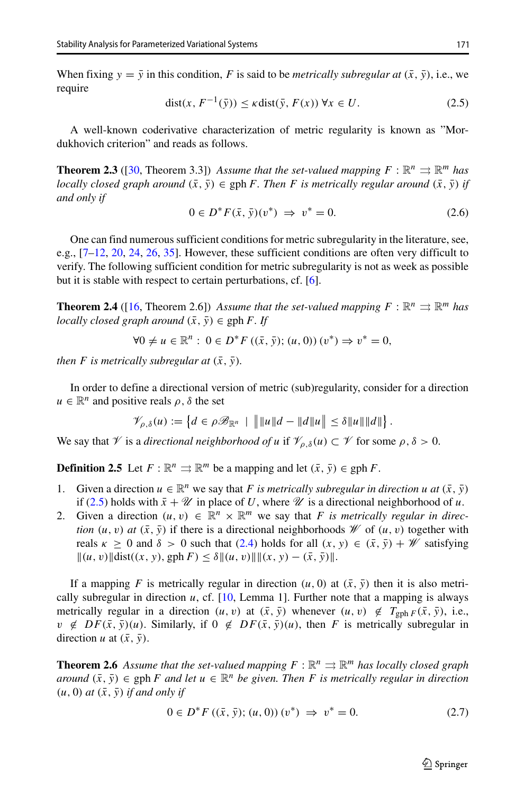When fixing  $y = \overline{y}$  in this condition, F is said to be *metrically subregular at*  $(\overline{x}, \overline{y})$ , i.e., we require

<span id="page-4-0"></span>
$$
dist(x, F^{-1}(\bar{y})) \le \kappa dist(\bar{y}, F(x)) \,\forall x \in U. \tag{2.5}
$$

A well-known coderivative characterization of metric regularity is known as "Mordukhovich criterion" and reads as follows.

**Theorem 2.3** ([\[30,](#page-25-3) Theorem 3.3]) *Assume that the set-valued mapping*  $F : \mathbb{R}^n \implies \mathbb{R}^m$  *has locally closed graph around*  $(\bar{x}, \bar{y}) \in \text{gph } F$ *. Then F is metrically regular around*  $(\bar{x}, \bar{y})$  *if and only if*

<span id="page-4-1"></span>
$$
0 \in D^*F(\bar{x}, \bar{y})(v^*) \implies v^* = 0.
$$
 (2.6)

One can find numerous sufficient conditions for metric subregularity in the literature, see, e.g.,  $[7-12, 20, 24, 26, 35]$  $[7-12, 20, 24, 26, 35]$  $[7-12, 20, 24, 26, 35]$  $[7-12, 20, 24, 26, 35]$  $[7-12, 20, 24, 26, 35]$  $[7-12, 20, 24, 26, 35]$  $[7-12, 20, 24, 26, 35]$  $[7-12, 20, 24, 26, 35]$  $[7-12, 20, 24, 26, 35]$ . However, these sufficient conditions are often very difficult to verify. The following sufficient condition for metric subregularity is not as week as possible but it is stable with respect to certain perturbations, cf. [\[6\]](#page-25-20).

**Theorem 2.4** ([\[16,](#page-25-9) Theorem 2.6]) *Assume that the set-valued mapping*  $F : \mathbb{R}^n \Rightarrow \mathbb{R}^m$  *has locally closed graph around*  $(\bar{x}, \bar{y}) \in \text{gph } F$ *. If* 

$$
\forall 0 \neq u \in \mathbb{R}^n : 0 \in D^*F ((\bar{x}, \bar{y}); (u, 0)) (v^*) \Rightarrow v^* = 0,
$$

*then F is metrically subregular at*  $(\bar{x}, \bar{y})$ *.* 

In order to define a directional version of metric (sub)regularity, consider for a direction  $u \in \mathbb{R}^n$  and positive reals  $\rho$ ,  $\delta$  the set fine a directional version of metric (sub)regularity, consi-<br>iive reals  $\rho$ ,  $\delta$  the set<br> $\mathcal{V}_{\rho,\delta}(u) := \{ d \in \rho \mathcal{B}_{\mathbb{R}^n} \mid |||u||d - ||d||u|| \leq \delta ||u|| ||d|| \}$ 

$$
\mathscr{V}_{\rho,\delta}(u) := \left\{ d \in \rho \mathscr{B}_{\mathbb{R}^n} \mid \|\|u\| \, d - \|d\| \, u\| \leq \delta \|u\| \|d\| \right\}.
$$

We say that  $\mathcal V$  is a *directional neighborhood of u* if  $\mathcal V_{\rho,\delta}(u) \subset \mathcal V$  for some  $\rho,\delta > 0$ .

**Definition 2.5** Let  $F : \mathbb{R}^n \implies \mathbb{R}^m$  be a mapping and let  $(\bar{x}, \bar{y}) \in \text{gph } F$ .

- 1. Given a direction  $u \in \mathbb{R}^n$  we say that *F is metrically subregular in direction u at*  $(\bar{x}, \bar{y})$ if [\(2.5\)](#page-4-0) holds with  $\bar{x} + \mathcal{U}$  in place of *U*, where  $\mathcal{U}$  is a directional neighborhood of *u*.
- 2. Given a direction  $(u, v) \in \mathbb{R}^n \times \mathbb{R}^m$  we say that *F* is metrically regular in direc*tion*  $(u, v)$  *at*  $(\bar{x}, \bar{y})$  if there is a directional neighborhoods *W* of  $(u, v)$  together with reals  $\kappa \geq 0$  and  $\delta > 0$  such that [\(2.4\)](#page-3-1) holds for all  $(x, y) \in (\bar{x}, \bar{y}) + W$  satisfying  $||(u, v)||\text{dist}((x, y), \text{gph } F) \leq \delta||(u, v)||||(x, y) - (\bar{x}, \bar{y})||.$

If a mapping *F* is metrically regular in direction  $(u, 0)$  at  $(\bar{x}, \bar{y})$  then it is also metrically subregular in direction *u*, cf. [\[10,](#page-25-21) Lemma 1]. Further note that a mapping is always metrically regular in a direction  $(u, v)$  at  $(\bar{x}, \bar{y})$  whenever  $(u, v) \notin T_{gph} F(\bar{x}, \bar{y})$ , i.e.,  $v \notin DF(\bar{x}, \bar{y})(u)$ . Similarly, if  $0 \notin DF(\bar{x}, \bar{y})(u)$ , then *F* is metrically subregular in direction *u* at  $(\bar{x}, \bar{y})$ .

**Theorem 2.6** *Assume that the set-valued mapping*  $F : \mathbb{R}^n \implies \mathbb{R}^m$  *has locally closed graph around*  $(\bar{x}, \bar{y})$  ∈ gph *F and let*  $u \in \mathbb{R}^n$  *be given. Then F is metrically regular in direction*  $(u, 0)$  *at*  $(\bar{x}, \bar{y})$  *if and only if* 

<span id="page-4-2"></span>
$$
0 \in D^* F\left((\bar{x}, \bar{y}); (u, 0)\right)(v^*) \implies v^* = 0.
$$
 (2.7)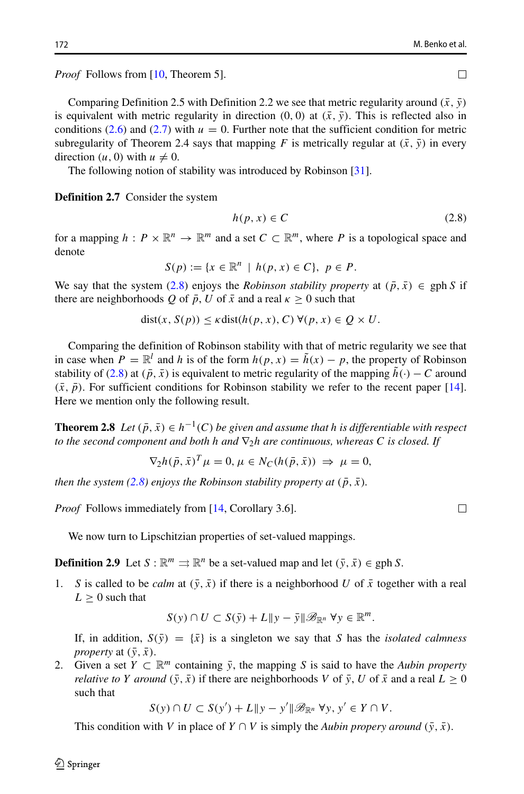*Proof* Follows from [\[10,](#page-25-21) Theorem 5].

Comparing Definition 2.5 with Definition 2.2 we see that metric regularity around  $(\bar{x}, \bar{y})$ is equivalent with metric regularity in direction  $(0, 0)$  at  $(\bar{x}, \bar{y})$ . This is reflected also in conditions [\(2.6\)](#page-4-1) and [\(2.7\)](#page-4-2) with  $u = 0$ . Further note that the sufficient condition for metric subregularity of Theorem 2.4 says that mapping *F* is metrically regular at  $(\bar{x}, \bar{y})$  in every direction  $(u, 0)$  with  $u \neq 0$ .

The following notion of stability was introduced by Robinson [\[31\]](#page-26-2).

**Definition 2.7** Consider the system

<span id="page-5-0"></span>
$$
h(p, x) \in C \tag{2.8}
$$

for a mapping  $h : P \times \mathbb{R}^n \to \mathbb{R}^m$  and a set  $C \subset \mathbb{R}^m$ , where P is a topological space and denote

$$
S(p) := \{ x \in \mathbb{R}^n \, \mid \, h(p, x) \in C \}, \, \, p \in P.
$$

We say that the system [\(2.8\)](#page-5-0) enjoys the *Robinson stability property* at  $(\bar{p}, \bar{x}) \in \text{gph } S$  if there are neighborhoods *Q* of  $\bar{p}$ , *U* of  $\bar{x}$  and a real  $\kappa \geq 0$  such that

$$
dist(x, S(p)) \leq \kappa dist(h(p, x), C) \ \forall (p, x) \in Q \times U.
$$

Comparing the definition of Robinson stability with that of metric regularity we see that in case when  $P = \mathbb{R}^l$  and *h* is of the form  $h(p, x) = \tilde{h}(x) - p$ , the property of Robinson stability of [\(2.8\)](#page-5-0) at  $(\bar{p}, \bar{x})$  is equivalent to metric regularity of the mapping  $h(\cdot) - C$  around  $(\bar{x}, \bar{p})$ . For sufficient conditions for Robinson stability we refer to the recent paper [\[14\]](#page-25-22). Here we mention only the following result.

**Theorem 2.8** *Let*  $(\bar{p}, \bar{x}) \in h^{-1}(C)$  *be given and assume that h is differentiable with respect to the second component and both h and* ∇2*h are continuous, whereas C is closed. If*

$$
\nabla_2 h(\bar{p}, \bar{x})^T \mu = 0, \mu \in N_C(h(\bar{p}, \bar{x})) \implies \mu = 0,
$$

*then the system [\(2.8\)](#page-5-0)* enjoys the Robinson stability property at  $(\bar{p}, \bar{x})$ .

*Proof* Follows immediately from [\[14,](#page-25-22) Corollary 3.6].

We now turn to Lipschitzian properties of set-valued mappings.

**Definition 2.9** Let  $S : \mathbb{R}^m \implies \mathbb{R}^n$  be a set-valued map and let  $(\bar{y}, \bar{x}) \in \text{gph } S$ .

1. *S* is called to be *calm* at  $(\bar{y}, \bar{x})$  if there is a neighborhood *U* of  $\bar{x}$  together with a real  $L > 0$  such that

$$
S(y) \cap U \subset S(\bar{y}) + L \|y - \bar{y}\| \mathscr{B}_{\mathbb{R}^n} \forall y \in \mathbb{R}^m.
$$

If, in addition,  $S(\bar{y}) = {\bar{x}}$  is a singleton we say that *S* has the *isolated calmness property* at  $(\bar{y}, \bar{x})$ .

2. Given a set  $Y \subset \mathbb{R}^m$  containing  $\bar{y}$ , the mapping *S* is said to have the *Aubin property relative to Y around*  $(\bar{y}, \bar{x})$  if there are neighborhoods *V* of  $\bar{y}$ , *U* of  $\bar{x}$  and a real  $L \ge 0$ such that

 $S(y) \cap U \subset S(y') + L \|y - y'\| \mathscr{B}_{\mathbb{R}^n} \forall y, y' \in Y \cap V$ .

This condition with *V* in place of *Y*  $\cap$  *V* is simply the *Aubin propery around*  $(\bar{y}, \bar{x})$ .

$$
\Box
$$

 $\Box$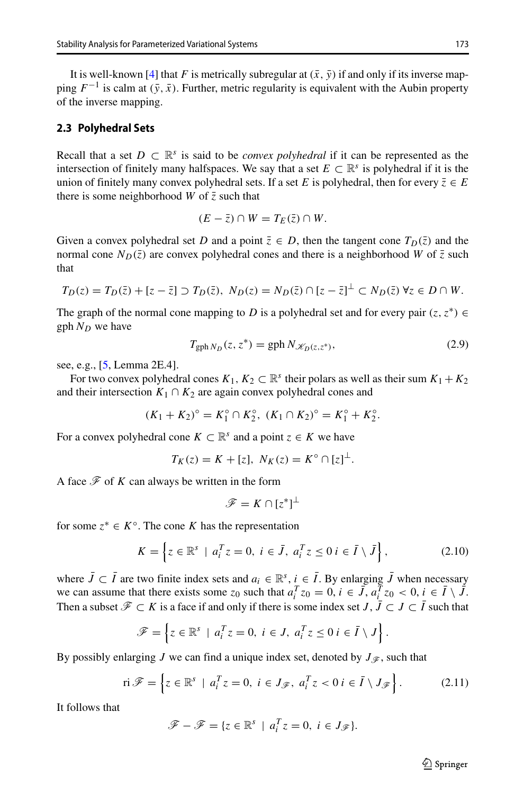It is well-known [\[4\]](#page-25-13) that *F* is metrically subregular at  $(\bar{x}, \bar{y})$  if and only if its inverse mapping  $F^{-1}$  is calm at  $(\bar{y}, \bar{x})$ . Further, metric regularity is equivalent with the Aubin property of the inverse mapping.

### <span id="page-6-0"></span>**2.3 Polyhedral Sets**

Recall that a set  $D \subset \mathbb{R}^s$  is said to be *convex polyhedral* if it can be represented as the intersection of finitely many halfspaces. We say that a set  $E \subset \mathbb{R}^s$  is polyhedral if it is the union of finitely many convex polyhedral sets. If a set *E* is polyhedral, then for every  $\overline{z} \in E$ there is some neighborhood *W* of  $\overline{z}$  such that

$$
(E-\overline{z})\cap W=T_E(\overline{z})\cap W.
$$

Given a convex polyhedral set *D* and a point  $\overline{z} \in D$ , then the tangent cone  $T_D(\overline{z})$  and the normal cone  $N_D(\bar{z})$  are convex polyhedral cones and there is a neighborhood *W* of  $\bar{z}$  such that

$$
T_D(z) = T_D(\bar{z}) + [z - \bar{z}] \supset T_D(\bar{z}), \ N_D(z) = N_D(\bar{z}) \cap [z - \bar{z}]^{\perp} \subset N_D(\bar{z}) \ \forall z \in D \cap W.
$$

The graph of the normal cone mapping to *D* is a polyhedral set and for every pair  $(z, z^*) \in$ gph  $N_D$  we have

<span id="page-6-1"></span>
$$
T_{\text{gph }N_D}(z, z^*) = \text{gph }N_{\mathscr{K}_D(z, z^*)},\tag{2.9}
$$

see, e.g., [\[5,](#page-25-0) Lemma 2E.4].

For two convex polyhedral cones  $K_1, K_2 \subset \mathbb{R}^s$  their polars as well as their sum  $K_1 + K_2$ and their intersection  $K_1 \cap K_2$  are again convex polyhedral cones and

$$
(K_1 + K_2)^{\circ} = K_1^{\circ} \cap K_2^{\circ}, \ (K_1 \cap K_2)^{\circ} = K_1^{\circ} + K_2^{\circ}.
$$

For a convex polyhedral cone  $K \subset \mathbb{R}^s$  and a point  $z \in K$  we have

$$
T_K(z) = K + [z], N_K(z) = K^\circ \cap [z]^\perp.
$$

A face  $\mathscr F$  of  $K$  can always be written in the form

$$
\mathscr{F}=K\cap [z^*]^{\perp}
$$

for some  $z^* \in K^\circ$ . The cone *K* has the representation

<span id="page-6-2"></span>
$$
K = \left\{ z \in \mathbb{R}^s \mid a_i^T z = 0, \ i \in \bar{J}, \ a_i^T z \le 0 \ i \in \bar{I} \setminus \bar{J} \right\},\tag{2.10}
$$

where  $\bar{J} \subset \bar{I}$  are two finite index sets and  $a_i \in \mathbb{R}^s$ ,  $i \in \bar{I}$ . By enlarging  $\bar{J}$  when necessary where  $J \subseteq I$  are two finite index sets and  $u_i \in \mathbb{R}$ ,  $i \in I$ . By emaiging *J* when necessary we can assume that there exists some  $z_0$  such that  $a_i^T z_0 = 0$ ,  $i \in \overline{J}$ ,  $a_i^T z_0 < 0$ ,  $i \in \overline{I} \setminus \overline{J}$ . Then a subset  $\mathcal{F} \subset K$  is a face if and only if there is some index set *J*,  $\overline{J} \subset J \subset \overline{I}$  such that

$$
\mathscr{F} = \left\{ z \in \mathbb{R}^s \mid a_i^T z = 0, \ i \in J, \ a_i^T z \le 0 \ i \in \overline{I} \setminus J \right\}.
$$

By possibly enlarging *J* we can find a unique index set, denoted by  $J_{\mathscr{F}}$ , such that

<span id="page-6-3"></span>
$$
\text{ri}\,\mathscr{F} = \left\{ z \in \mathbb{R}^s \mid a_i^T z = 0, \ i \in J_{\mathscr{F}}, \ a_i^T z < 0 \ i \in \bar{I} \setminus J_{\mathscr{F}} \right\}. \tag{2.11}
$$

It follows that

$$
\mathscr{F} - \mathscr{F} = \{ z \in \mathbb{R}^s \mid a_i^T z = 0, \ i \in J_{\mathscr{F}} \}.
$$

 $\textcircled{2}$  Springer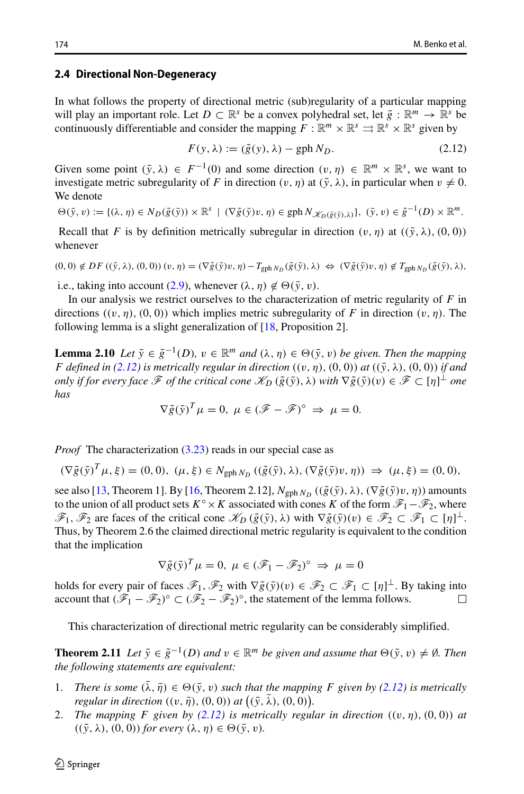#### <span id="page-7-0"></span>**2.4 Directional Non-Degeneracy**

In what follows the property of directional metric (sub)regularity of a particular mapping will play an important role. Let  $D \subset \mathbb{R}^s$  be a convex polyhedral set, let  $\tilde{g} : \mathbb{R}^m \to \mathbb{R}^s$  be continuously differentiable and consider the mapping  $F : \mathbb{R}^m \times \mathbb{R}^s \Rightarrow \mathbb{R}^s \times \mathbb{R}^s$  given by

<span id="page-7-1"></span>
$$
F(y, \lambda) := (\tilde{g}(y), \lambda) - gph N_D.
$$
 (2.12)

Given some point  $(\bar{v}, \lambda) \in F^{-1}(0)$  and some direction  $(v, \eta) \in \mathbb{R}^m \times \mathbb{R}^s$ , we want to investigate metric subregularity of *F* in direction  $(v, \eta)$  at  $(\bar{y}, \lambda)$ , in particular when  $v \neq 0$ . We denote

$$
\Theta(\bar{y}, v) := \{(\lambda, \eta) \in N_D(\tilde{g}(\bar{y})) \times \mathbb{R}^s \mid (\nabla \tilde{g}(\bar{y})v, \eta) \in \mathrm{gph}\, N\mathscr{K}_D(\tilde{g}(\bar{y}), \lambda)\}, (\bar{y}, v) \in \tilde{g}^{-1}(D) \times \mathbb{R}^m.
$$

Recall that *F* is by definition metrically subregular in direction  $(v, \eta)$  at  $((\bar{y}, \lambda), (0, 0))$ whenever

$$
(0,0) \notin DF\left((\bar{y},\lambda),(0,0)\right)(v,\eta) = (\nabla \tilde{g}(\bar{y})v,\eta) - T_{\text{gph}\,N_D}(\tilde{g}(\bar{y}),\lambda) \iff (\nabla \tilde{g}(\bar{y})v,\eta) \notin T_{\text{gph}\,N_D}(\tilde{g}(\bar{y}),\lambda),
$$

i.e., taking into account [\(2.9\)](#page-6-1), whenever  $(\lambda, \eta) \notin \Theta(\bar{y}, v)$ .

In our analysis we restrict ourselves to the characterization of metric regularity of *F* in directions  $((v, \eta), (0, 0))$  which implies metric subregularity of *F* in direction  $(v, \eta)$ . The following lemma is a slight generalization of [\[18,](#page-25-10) Proposition 2].

**Lemma 2.10** *Let*  $\bar{y} \in \tilde{g}^{-1}(D)$ *,*  $v \in \mathbb{R}^m$  *and*  $(\lambda, \eta) \in \Theta(\bar{y}, v)$  *be given. Then the mapping F* defined in [\(2.12\)](#page-7-1) is metrically regular in direction  $((v, \eta), (0, 0))$  at  $((\bar{y}, \lambda), (0, 0))$  if and *only if for every face*  $\mathscr F$  *of the critical cone*  $\mathscr K_D$   $(\tilde{g}(\bar{y}), \lambda)$  *with*  $\nabla \tilde{g}(\bar{y})(v) \in \mathscr F \subset [\eta]^{\perp}$  *one has*

$$
\nabla \tilde{g}(\tilde{y})^T \mu = 0, \ \mu \in (\mathscr{F} - \mathscr{F})^{\circ} \implies \mu = 0.
$$

*Proof* The characterization [\(3.23\)](#page-12-1) reads in our special case as

$$
(\nabla \tilde{g}(\bar{y})^T \mu, \xi) = (0, 0), \ (\mu, \xi) \in N_{\text{gph }N_D} \ ((\tilde{g}(\bar{y}), \lambda), (\nabla \tilde{g}(\bar{y})v, \eta)) \implies (\mu, \xi) = (0, 0),
$$

see also [\[13,](#page-25-7) Theorem 1]. By [\[16,](#page-25-9) Theorem 2.12],  $N_{\text{gph }N_D}$  (( $\tilde{g}(\bar{y}), \lambda$ ), ( $\nabla \tilde{g}(\bar{y})v, \eta$ )) amounts to the union of all product sets  $K^\circ \times K$  associated with cones *K* of the form  $\mathscr{F}_1-\mathscr{F}_2$ , where  $\mathscr{F}_1, \mathscr{F}_2$  are faces of the critical cone  $\mathscr{K}_D(\tilde{g}(\tilde{y}), \lambda)$  with  $\nabla \tilde{g}(\tilde{y})(v) \in \mathscr{F}_2 \subset \mathscr{F}_1 \subset [\eta]^{\perp}$ . Thus, by Theorem 2.6 the claimed directional metric regularity is equivalent to the condition that the implication

$$
\nabla \tilde{g}(\tilde{y})^T \mu = 0, \ \mu \in (\mathscr{F}_1 - \mathscr{F}_2)^\circ \implies \mu = 0
$$

holds for every pair of faces  $\mathscr{F}_1$ ,  $\mathscr{F}_2$  with  $\nabla \tilde{g}(\bar{y})(v) \in \mathscr{F}_2 \subset \mathscr{F}_1 \subset [\eta]^{\perp}$ . By taking into account that  $(\mathscr{F}_1 - \mathscr{F}_2)^\circ \subset (\mathscr{F}_2 - \mathscr{F}_2)^\circ$ , the statement of the lemma follows.  $\Box$ 

This characterization of directional metric regularity can be considerably simplified.

**Theorem 2.11** *Let*  $\bar{y} \in \tilde{g}^{-1}(D)$  *and*  $v \in \mathbb{R}^m$  *be given and assume that*  $\Theta(\bar{y}, v) \neq \emptyset$ *. Then the following statements are equivalent:*

- 1. *There is some*  $(\lambda, \bar{\eta}) \in \Theta(\bar{y}, v)$  *such that the mapping F given by [\(2.12\)](#page-7-1) is metrically regularies (i) <i>regularies (i) <i>regulariis are equivalent:*<br>*There is some*  $(\bar{\lambda}, \bar{\eta}) \in \Theta(\bar{y}, v)$  *such to regular in direction*  $((v, \bar{\eta}), (0, 0))$  *at* (*regular in direction* (*i*)  $(\bar{y}, \bar{\lambda}), (0, 0)$ .
- 2. *The mapping F given by [\(2.12\)](#page-7-1) is metrically regular in direction*  $((v, \eta), (0, 0))$  *at*  $((\bar{y}, \lambda), (0, 0))$  *for every*  $(\lambda, \eta) \in \Theta(\bar{y}, v)$ *.*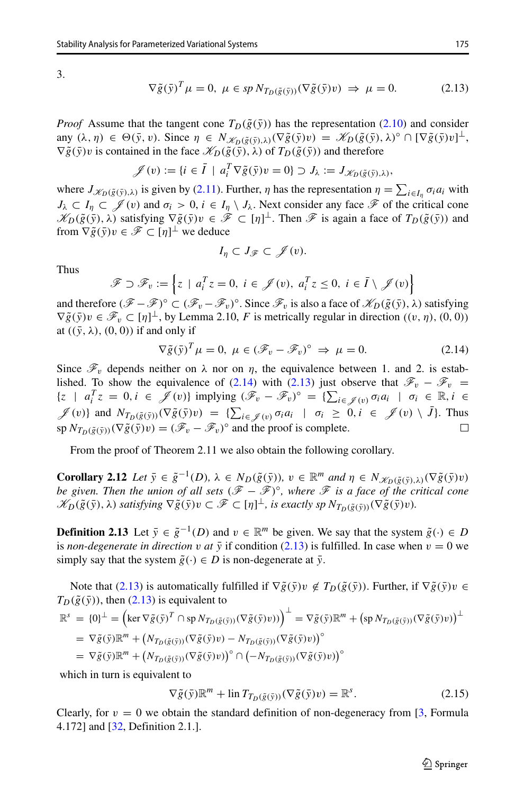3.

<span id="page-8-1"></span>
$$
\nabla \tilde{g}(\tilde{y})^T \mu = 0, \ \mu \in sp \ N_{T_D(\tilde{g}(\tilde{y}))}(\nabla \tilde{g}(\tilde{y})v) \ \Rightarrow \ \mu = 0. \tag{2.13}
$$

*Proof* Assume that the tangent cone  $T_D(\tilde{g}(\bar{y}))$  has the representation [\(2.10\)](#page-6-2) and consider  $\text{any } (\lambda, \eta) \in \Theta(\bar{y}, v)$ . Since  $\eta \in N_{\mathscr{K}_D(\tilde{g}(\bar{y}), \lambda)}(\nabla \tilde{g}(\bar{y})v) = \mathscr{K}_D(\tilde{g}(\bar{y}), \lambda)^\circ \cap [\nabla \tilde{g}(\bar{y})v]^\perp$ ,  $\nabla \tilde{g}(\bar{y})v$  is contained in the face  $\mathscr{K}_D(\tilde{g}(\bar{y}), \lambda)$  of  $T_D(\tilde{g}(\bar{y}))$  and therefore  $\nabla \tilde{g}(\bar{y})v$  is contained in the face  $\mathcal{K}_D(\tilde{g}(\bar{y}), \lambda)$  of  $T_D(\tilde{g}(\bar{y}))$  and therefore<br>  $\mathcal{J}(v) := \{i \in \bar{I} \mid a_i^T \nabla \tilde{g}(\bar{y})v = 0\} \supset J_{\lambda} := J_{\mathcal{K}_D(\tilde{g}(\bar{y}), \lambda)},$ <br>
where  $J_{\mathcal{K}_D(\tilde{g}(\bar{y}), \lambda)}$  is giv

$$
\mathscr{J}(v) := \{ i \in \overline{I} \mid a_i^T \nabla \tilde{g}(\bar{y}) v = 0 \} \supset J_{\lambda} := J_{\mathscr{K}_D(\tilde{g}(\bar{y}), \lambda)},
$$

 $\sum_{i \in I_{\eta}} \sigma_i a_i$  with  $J_{\lambda} \subset I_{\eta} \subset \mathscr{J}(v)$  and  $\sigma_i > 0$ ,  $i \in I_{\eta} \setminus J_{\lambda}$ . Next consider any face  $\mathscr{F}$  of the critical cone  $\mathscr{K}_D(\tilde{g}(\tilde{y}), \lambda)$  satisfying  $\nabla \tilde{g}(\tilde{y})v \in \mathscr{F} \subset [\eta]^{\perp}$ . Then  $\mathscr{F}$  is again a face of  $T_D(\tilde{g}(\tilde{y}))$  and

$$
I_{\eta} \subset J_{\mathscr{F}} \subset \mathscr{J}(v).
$$

Thus

from 
$$
\nabla \tilde{g}(\bar{y})v \in \mathscr{F} \subset [\eta]^{\perp}
$$
 we deduce  
\n
$$
I_{\eta} \subset J_{\mathscr{F}} \subset \mathscr{J}(v).
$$
\nThus  
\n
$$
\mathscr{F} \supset \mathscr{F}_{v} := \left\{ z \mid a_{i}^{T} z = 0, i \in \mathscr{J}(v), a_{i}^{T} z \leq 0, i \in \bar{I} \setminus \mathscr{J}(v) \right\}
$$

and therefore  $(\mathscr{F} - \mathscr{F})^{\circ} \subset (\mathscr{F}_v - \mathscr{F}_v)^{\circ}$ . Since  $\mathscr{F}_v$  is also a face of  $\mathscr{K}_D(\tilde{g}(\bar{y}), \lambda)$  satisfying  $\nabla \tilde{g}(\bar{y})v \in \mathcal{F}_v \subset [\eta]^{\perp}$ , by Lemma 2.10, *F* is metrically regular in direction  $((v, \eta), (0, 0))$ at  $((\bar{y}, \lambda), (0, 0))$  if and only if

<span id="page-8-0"></span>
$$
\nabla \tilde{g}(\tilde{y})^T \mu = 0, \ \mu \in (\mathcal{F}_v - \mathcal{F}_v)^\circ \implies \mu = 0. \tag{2.14}
$$

Since  $\mathcal{F}_v$  depends neither on  $\lambda$  nor on  $\eta$ , the equivalence between 1. and 2. is estab-lished. To show the equivalence of [\(2.14\)](#page-8-0) with [\(2.13\)](#page-8-1) just observe that  $\mathscr{F}_v - \mathscr{F}_v$  =  $\forall g(y)^i \mu = 0, \ \mu \in (\mathcal{F}_v - \mathcal{F}_v)^{\circ} \Rightarrow \mu$ <br> *Since*  $\mathcal{F}_v$  depends neither on  $\lambda$  nor on  $\eta$ , the equivalence<br>
lished. To show the equivalence of (2.14) with (2.13) just<br>
{*z* |  $a_i^T z = 0, i \in \mathcal{J}(v)$ } implying  $(\mathcal$  $\sum_{i \in \mathscr{J}(v)} \sigma_i a_i \mid \sigma_i \in \mathbb{R}, i \in$ Since  $\mathscr{F}_v$  depends neither on  $\lambda$  nor on<br>lished. To show the equivalence of (2.<br> $\{z \mid a_i^T z = 0, i \in \mathscr{J}(v)\}$  implying<br> $\mathscr{J}(v)$ } and  $N_{T_D(\tilde{g}(\tilde{y}))}(\nabla \tilde{g}(\tilde{y})v) = {\sum_{\lambda} \tilde{g}(\lambda)\Delta_{\lambda}}$  $\sum_{i \in \mathscr{J}(v)} \sigma_i a_i$  |  $\sigma_i \geq 0, i \in \mathscr{J}(v) \setminus J$ }. Thus  $\sup N_{T_D(\tilde{\varrho}(\tilde{y}))}(\nabla \tilde{g}(\tilde{y})v) = (\mathscr{F}_v - \mathscr{F}_v)^\circ$  and the proof is complete.

From the proof of Theorem 2.11 we also obtain the following corollary.

**Corollary 2.12** Let  $\bar{y} \in \tilde{g}^{-1}(D)$ ,  $\lambda \in N_D(\tilde{g}(\bar{y}))$ ,  $v \in \mathbb{R}^m$  and  $\eta \in N_{\mathscr{K}_D(\tilde{g}(\bar{y}),\lambda)}(\nabla \tilde{g}(\bar{y})v)$ *be given. Then the union of all sets*  $(\mathcal{F} - \mathcal{F})\degree$ *, where*  $\mathcal F$  *is a face of the critical cone*  $\mathscr{K}_D(\tilde{g}(\bar{y}), \lambda)$  satisfying  $\nabla \tilde{g}(\bar{y})v \subset \mathscr{F} \subset [\eta]^{\perp}$ , is exactly sp  $N_{T_D(\tilde{g}(\bar{y}))}(\nabla \tilde{g}(\bar{y})v)$ .

**Definition 2.13** Let  $\bar{y} \in \tilde{g}^{-1}(D)$  and  $v \in \mathbb{R}^m$  be given. We say that the system  $\tilde{g}(\cdot) \in D$ is *non-degenerate in direction v at*  $\bar{y}$  if condition [\(2.13\)](#page-8-1) is fulfilled. In case when  $v = 0$  we simply say that the system  $\tilde{g}(\cdot) \in D$  is non-degenerate at  $\bar{y}$ .

Note that [\(2.13\)](#page-8-1) is automatically fulfilled if  $\nabla \tilde{g}(\bar{y})v \notin T_D(\tilde{g}(\bar{y}))$ . Further, if  $\nabla \tilde{g}(\bar{y})v \in$  $T_D(\tilde{g}(\bar{y}))$ , then [\(2.13\)](#page-8-1) is equivalent to  $\mathbb{R}^s = \{0\}^{\perp} = \left(\ker \nabla \tilde{g}(\bar{y})^T \cap \mathrm{sp} \, N_{T_D(\tilde{g}(\bar{y}))}(\nabla \tilde{g}(\bar{y})v)\right)^{\perp}$  $(\bar{y})v \notin T_D(\tilde{g}(\bar{y}))$ . Further, if  $\nabla \tilde{g}(\bar{y})v = \nabla \tilde{g}(\bar{y})\mathbb{R}^m + (\text{sp } N_{T_D(\tilde{g}(\bar{y}))}(\nabla \tilde{g}(\bar{y})v))^{\perp}$  $\tilde{g}(\bar{y})$ ), then (2.13) is equivalent to<br>  $= {0}^{\perp} = (\ker \nabla \tilde{g}(\bar{y})^T \cap \text{sp} N_{T_D(\tilde{g}(\bar{y}))}(\nabla \tilde{g}(\bar{y})v))$   $= \nabla \tilde{g}(\bar{y}) \mathbb{R}^m + (N_{T_D(\tilde{g}(\bar{y}))}(\nabla \tilde{g}(\bar{y})v) - N_{T_D(\tilde{g}(\bar{y}))}(\nabla \tilde{g}(\bar{y})v))$ <sup>o</sup> =  $\{0\}^{\perp}$  =  $\left(\ker \nabla \tilde{g}(\bar{y})^T \cap \text{sp } N_{T_D(\tilde{g}(\bar{y}))}(\nabla \bar{g}(\bar{y}))\right)$ <br>
=  $\nabla \tilde{g}(\bar{y}) \mathbb{R}^m + (N_{T_D(\tilde{g}(\bar{y}))}(\nabla \tilde{g}(\bar{y})v) - N_T$ <br>
=  $\nabla \tilde{g}(\bar{y}) \mathbb{R}^m + (N_{T_D(\tilde{g}(\bar{y}))}(\nabla \tilde{g}(\bar{y})v))^{\circ} \cap$  $\left(\frac{\widetilde{g}(\overline{y})v)}{\widetilde{g}(\overline{g}(\overline{y}))}(\nabla \widetilde{g}(\overline{y})v)\right)^{\circ} \ -N_{T_D(\widetilde{g}(\overline{y}))}(\nabla \widetilde{g}(\overline{y})v)^{\circ}$ 

which in turn is equivalent to

$$
\nabla \tilde{g}(\tilde{y}) \mathbb{R}^m + \ln T_{T_D(\tilde{g}(\tilde{y}))} (\nabla \tilde{g}(\tilde{y}) v) = \mathbb{R}^s.
$$
 (2.15)

Clearly, for  $v = 0$  we obtain the standard definition of non-degeneracy from [\[3,](#page-25-23) Formula 4.172] and [\[32,](#page-26-3) Definition 2.1.].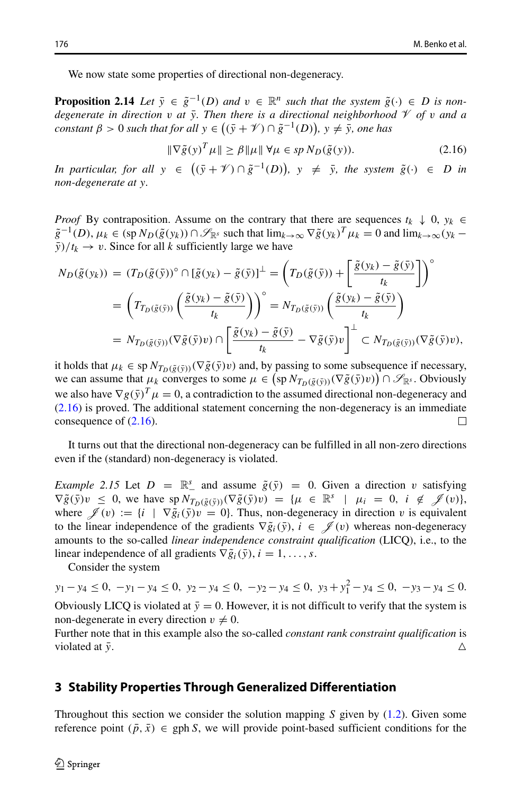We now state some properties of directional non-degeneracy.

**Proposition 2.14** *Let*  $\bar{y} \in \tilde{g}^{-1}(D)$  *and*  $v \in \mathbb{R}^n$  *such that the system*  $\tilde{g}(\cdot) \in D$  *is nondegenerate in direction v at*  $\bar{y}$ . Then there is a directional neighborhood  $\mathcal V$  *of v and a* **Proposition 2.14** Let  $\bar{y} \in \tilde{g}^{-1}(D)$  and  $v \in \mathbb{R}^n$  such that the system  $\tilde{g}$ <br>degenerate in direction v at  $\bar{y}$ . Then there is a directional neighborhoot<br>constant  $\beta > 0$  such that for all  $y \in ((\bar{y} + \mathcal{$ 

<span id="page-9-1"></span>
$$
\|\nabla \tilde{g}(y)^T \mu\| \ge \beta \|\mu\| \ \forall \mu \in sp \ N_D(\tilde{g}(y)).\tag{2.16}
$$

*In particular, for all*  $y \in ((\bar{y} + \mathcal{V}) \cap \tilde{g}^{-1}(D))$ ,  $y \neq \bar{y}$ , the system  $\tilde{g}(\cdot) \in D$  *in non-degenerate at y.*

*Proof* By contraposition. Assume on the contrary that there are sequences  $t_k \downarrow 0$ ,  $y_k \in$  $\tilde{g}^{-1}(D)$ ,  $\mu_k \in (\text{sp } N_D(\tilde{g}(y_k)) \cap \mathcal{S}_{\mathbb{R}^s}$  such that  $\lim_{k \to \infty} \nabla \tilde{g}(y_k)^T \mu_k = 0$  and  $\lim_{k \to \infty} (y_k \frac{\bar{y}}{t_k} \to v$ . Since for all *k* sufficiently large we have

$$
N_D(\tilde{g}(y_k)) = (T_D(\tilde{g}(\tilde{y}))^{\circ} \cap [\tilde{g}(y_k) - \tilde{g}(\tilde{y})]^{\perp} = \left(T_D(\tilde{g}(\tilde{y})) + \left[\frac{\tilde{g}(y_k) - \tilde{g}(\tilde{y})}{t_k}\right]\right)^{\circ}
$$
  
\n
$$
= \left(T_{T_D(\tilde{g}(\tilde{y}))}\left(\frac{\tilde{g}(y_k) - \tilde{g}(\tilde{y})}{t_k}\right)\right)^{\circ} = N_{T_D(\tilde{g}(\tilde{y}))}\left(\frac{\tilde{g}(y_k) - \tilde{g}(\tilde{y})}{t_k}\right)
$$
  
\n
$$
= N_{T_D(\tilde{g}(\tilde{y}))}(\nabla \tilde{g}(\tilde{y})v) \cap \left[\frac{\tilde{g}(y_k) - \tilde{g}(\tilde{y})}{t_k} - \nabla \tilde{g}(\tilde{y})v\right]^{\perp} \subset N_{T_D(\tilde{g}(\tilde{y}))}(\nabla \tilde{g}(\tilde{y})v),
$$

 $W_{T_D(\tilde{g}(\tilde{y}))}(\nabla \tilde{g}(\tilde{y})v) \cap \left[ \frac{g(y_k) - g(y)}{t_k} - \nabla \tilde{g}(\tilde{y})v \right]^{-} \subset \Lambda$ <br>it holds that  $\mu_k \in \text{sp } N_{T_D(\tilde{g}(\tilde{y}))}(\nabla \tilde{g}(\tilde{y})v)$  and, by passing to some subsective can assume that  $\mu_k$  converges to some it holds that  $\mu_k \in sp \, N_{T_D(\tilde{g}(\tilde{y}))}(\nabla \tilde{g}(\tilde{y})v)$  and, by passing to some subsequence if necessary, we can assume that  $\mu_k$  converges to some  $\mu \in (\text{sp }N_{T_p(\tilde{g}(\bar{v}))}(\nabla \tilde{g}(\bar{y})v)) \cap \mathcal{S}_{\mathbb{R}^s}$ . Obviously we also have  $\nabla g(\bar{y})^T \mu = 0$ , a contradiction to the assumed directional non-degeneracy and [\(2.16\)](#page-9-1) is proved. The additional statement concerning the non-degeneracy is an immediate consequence of [\(2.16\)](#page-9-1).  $\Box$ 

It turns out that the directional non-degeneracy can be fulfilled in all non-zero directions even if the (standard) non-degeneracy is violated.

*Example 2.15* Let  $D = \mathbb{R}^s$  and assume  $\tilde{g}(\bar{y}) = 0$ . Given a direction *v* satisfying  $\nabla \tilde{g}(\bar{y})v \leq 0$ , we have  $sp N_{T_D(\tilde{g}(\bar{y}))}(\nabla \tilde{g}(\bar{y})v) = {\mu \in \mathbb{R}^s \mid \mu_i = 0, i \notin \mathcal{J}(v)},$ where  $\mathscr{J}(v) := \{i \mid \nabla \tilde{g}_i(\bar{y})v = 0\}$ . Thus, non-degeneracy in direction *v* is equivalent to the linear independence of the gradients  $\nabla \tilde{g}_i(\bar{y}), i \in \mathscr{J}(v)$  whereas non-degeneracy amounts to the so-called *linear independence constraint qualification* (LICQ), i.e., to the linear independence of all gradients  $\nabla \tilde{g}_i(\bar{y}), i = 1, \ldots, s$ .

Consider the system

*y*<sub>1</sub> − *y*<sub>4</sub> ≤ 0*,* −*y*<sub>1</sub> − *y*<sub>4</sub> ≤ 0*, y*<sub>2</sub> − *y*<sub>4</sub> ≤ 0*,* −*y*<sub>2</sub> − *y*<sub>4</sub> ≤ 0*, y*<sub>3</sub> + *y*<sub>1</sub><sup>2</sup> − *y*<sub>4</sub> ≤ 0*,* −*y*<sub>3</sub> − *y*<sub>4</sub> ≤ 0*.* Obviously LICQ is violated at  $\bar{y} = 0$ . However, it is not difficult to verify that the system is non-degenerate in every direction  $v \neq 0$ .

Further note that in this example also the so-called *constant rank constraint qualification* is violated at  $\bar{y}$ .

### <span id="page-9-0"></span>**3 Stability Properties Through Generalized Differentiation**

Throughout this section we consider the solution mapping *S* given by [\(1.2\)](#page-2-1). Given some reference point  $(\bar{p}, \bar{x}) \in \text{gph } S$ , we will provide point-based sufficient conditions for the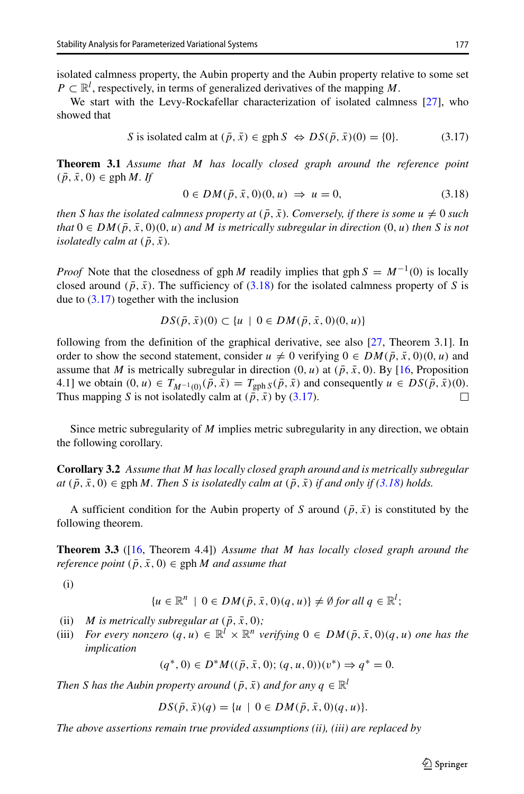isolated calmness property, the Aubin property and the Aubin property relative to some set  $P \subset \mathbb{R}^l$ , respectively, in terms of generalized derivatives of the mapping *M*.

We start with the Levy-Rockafellar characterization of isolated calmness [\[27\]](#page-25-24), who showed that

<span id="page-10-1"></span>S is isolated calm at 
$$
(\bar{p}, \bar{x}) \in \text{gph } S \Leftrightarrow DS(\bar{p}, \bar{x})(0) = \{0\}.
$$
 (3.17)

**Theorem 3.1** *Assume that M has locally closed graph around the reference point*  $(\bar{p}, \bar{x}, 0) \in \text{gph } M$ *. If* 

<span id="page-10-0"></span>
$$
0 \in DM(\bar{p}, \bar{x}, 0)(0, u) \Rightarrow u = 0,
$$
\n
$$
(3.18)
$$

*then S has the isolated calmness property at*  $(\bar{p}, \bar{x})$ *. Conversely, if there is some u*  $\neq 0$  *such that*  $0 \in DM(\bar{p}, \bar{x}, 0)$  *(0, u) and M is metrically subregular in direction* (*0, u) then S is not isolatedly calm at*  $(\bar{p}, \bar{x})$ *.* 

*Proof* Note that the closedness of gph *M* readily implies that gph  $S = M^{-1}(0)$  is locally closed around  $(\bar{p}, \bar{x})$ . The sufficiency of [\(3.18\)](#page-10-0) for the isolated calmness property of *S* is due to [\(3.17\)](#page-10-1) together with the inclusion

$$
DS(\bar{p}, \bar{x})(0) \subset \{u \mid 0 \in DM(\bar{p}, \bar{x}, 0)(0, u)\}\
$$

following from the definition of the graphical derivative, see also [\[27,](#page-25-24) Theorem 3.1]. In order to show the second statement, consider  $u \neq 0$  verifying  $0 \in DM(\bar{p}, \bar{x}, 0)$  (0*, u*) and assume that *M* is metrically subregular in direction  $(0, u)$  at  $(\bar{p}, \bar{x}, 0)$ . By [\[16,](#page-25-9) Proposition 4.1] we obtain  $(0, u) \in T_{M^{-1}(0)}(\bar{p}, \bar{x}) = T_{\text{gph }S}(\bar{p}, \bar{x})$  and consequently *u* ∈ *DS*( $\bar{p}, \bar{x}$ )(0).<br>Thus mapping *S* is not isolatedly calm at ( $\bar{p}, \bar{x}$ ) by (3.17). Thus mapping *S* is not isolatedly calm at  $(\bar{p}, \bar{x})$  by [\(3.17\)](#page-10-1).

Since metric subregularity of *M* implies metric subregularity in any direction, we obtain the following corollary.

**Corollary 3.2** *Assume that M has locally closed graph around and is metrically subregular*  $at(\bar{p}, \bar{x}, 0) \in \text{gph } M$ . Then *S* is isolatedly calm at  $(\bar{p}, \bar{x})$  if and only if  $(3.18)$  holds.

A sufficient condition for the Aubin property of *S* around  $(\bar{p}, \bar{x})$  is constituted by the following theorem.

**Theorem 3.3** ([\[16,](#page-25-9) Theorem 4.4]) *Assume that M has locally closed graph around the reference point*  $(\bar{p}, \bar{x}, 0) \in \text{gph } M$  *and assume that* 

(i)

$$
\{u \in \mathbb{R}^n \mid 0 \in DM(\bar{p}, \bar{x}, 0)(q, u)\} \neq \emptyset \text{ for all } q \in \mathbb{R}^l;
$$

- (ii) *M* is metrically subregular at  $(\bar{p}, \bar{x}, 0)$ ;<br>(iii) *For every nonzero*  $(a, u) \in \mathbb{R}^l \times \mathbb{R}^n$  *v*.
- *For every nonzero*  $(q, u) \in \mathbb{R}^l \times \mathbb{R}^n$  *verifying*  $0 \in DM(\bar{p}, \bar{x}, 0)(q, u)$  *one has the implication*

 $(a^*, 0) \in D^*M((\bar{p}, \bar{x}, 0); (a, u, 0))(v^*) \Rightarrow a^* = 0.$ 

*Then S has the Aubin property around*  $(\bar{p}, \bar{x})$  *and for any*  $q \in \mathbb{R}^l$ 

$$
DS(\bar{p}, \bar{x})(q) = \{u \mid 0 \in DM(\bar{p}, \bar{x}, 0)(q, u)\}.
$$

*The above assertions remain true provided assumptions (ii), (iii) are replaced by*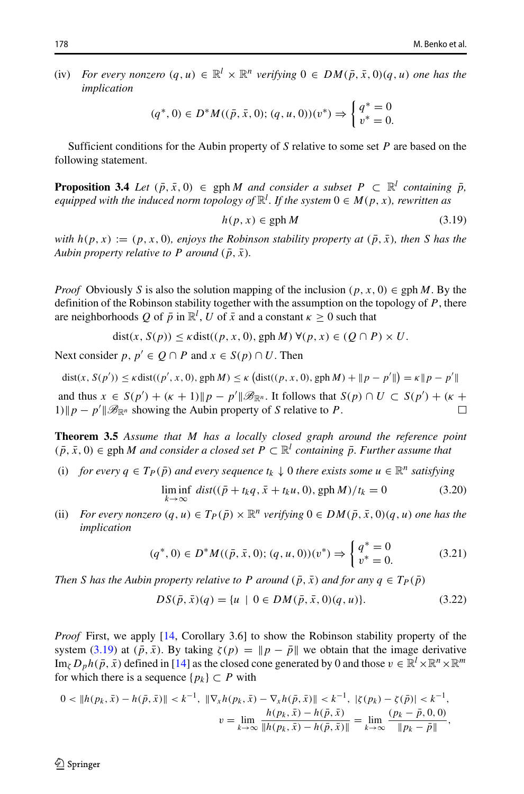(iv) *For every nonzero*  $(a, u) \in \mathbb{R}^l \times \mathbb{R}^n$  *verifying*  $0 \in DM(\bar{p}, \bar{x}, 0)$  $(a, u)$  *one has the implication*

$$
(q^*,0) \in D^*M((\bar{p},\bar{x},0);(q,u,0))(v^*) \Rightarrow \begin{cases} q^* = 0\\ v^* = 0. \end{cases}
$$

Sufficient conditions for the Aubin property of *S* relative to some set *P* are based on the following statement.

**Proposition 3.4** *Let*  $(\bar{p}, \bar{x}, 0) \in \text{gph } M$  *and consider a subset*  $P \subset \mathbb{R}^l$  *containing*  $\bar{p}$ *,*  $\mathit{equipped}\ with\ the\ induced\ norm\ topology\ of\ \mathbb{R}^l.$  If the system  $0\in M(p,x),$  rewritten as

<span id="page-11-0"></span>
$$
h(p, x) \in \text{gph}\,M\tag{3.19}
$$

*with*  $h(p, x) := (p, x, 0)$ *, enjoys the Robinson stability property at*  $(\bar{p}, \bar{x})$ *, then S has the Aubin property relative to P around*  $(\bar{p}, \bar{x})$ *.* 

*Proof* Obviously *S* is also the solution mapping of the inclusion  $(p, x, 0) \in gph M$ . By the definition of the Robinson stability together with the assumption on the topology of *P*, there are neighborhoods *Q* of  $\bar{p}$  in  $\mathbb{R}^l$ , *U* of  $\bar{x}$  and a constant  $\kappa \geq 0$  such that

 $dist(x, S(p)) \leq \kappa \text{dist}((p, x, 0), \text{gph } M) \ \forall (p, x) \in (Q \cap P) \times U.$ 

Next consider *p*,  $p' \in Q \cap P$  and  $x \in S(p) \cap U$ . Then

 $\text{dist}(x, S(p')) \le \kappa \text{dist}((p', x, 0), \text{gph } M) \le \kappa \left( \text{dist}((p, x, 0), \text{gph } M) + ||p - p'|| \right) = \kappa ||p - p'||$ and thus  $x \in S(p') + (\kappa + 1) \| p - p' \| \mathcal{B}_{\mathbb{R}^n}$ . It follows that  $S(p) \cap U \subset S(p') + (\kappa + 1) \| p - p' \| \mathcal{B}_{\mathbb{R}^n}$ . 1) $\Vert p - p' \Vert \mathcal{B}_{\mathbb{R}^n}$  showing the Aubin property of *S* relative to *P*.

**Theorem 3.5** *Assume that M has a locally closed graph around the reference point*  $(\bar{p}, \bar{x}, 0)$  ∈ gph *M* and consider a closed set  $P \subset \mathbb{R}^l$  containing  $\bar{p}$ . Further assume that

(i) *for every*  $q \in T_P(\bar{p})$  *and every sequence*  $t_k \downarrow 0$  *there exists some*  $u \in \mathbb{R}^n$  *satisfying* 

<span id="page-11-1"></span>
$$
\liminf_{k \to \infty} \text{dist}((\bar{p} + t_k q, \bar{x} + t_k u, 0), \text{gph } M)/t_k = 0 \tag{3.20}
$$

(ii) *For every nonzero*  $(q, u) \in T_P(\bar{p}) \times \mathbb{R}^n$  *verifying*  $0 \in DM(\bar{p}, \bar{x}, 0)$  $(q, u)$  *one has the implication*

<span id="page-11-2"></span>
$$
(q^*,0) \in D^*M((\bar{p},\bar{x},0);(q,u,0))(v^*) \Rightarrow \begin{cases} q^* = 0\\ v^* = 0. \end{cases}
$$
 (3.21)

*Then S has the Aubin property relative to P around*  $(\bar{p}, \bar{x})$  *and for any*  $q \in T_P(\bar{p})$ 

<span id="page-11-3"></span>
$$
DS(\bar{p}, \bar{x})(q) = \{u \mid 0 \in DM(\bar{p}, \bar{x}, 0)(q, u)\}.
$$
 (3.22)

*Proof* First, we apply [\[14,](#page-25-22) Corollary 3.6] to show the Robinson stability property of the system [\(3.19\)](#page-11-0) at  $(\bar{p}, \bar{x})$ . By taking  $\zeta(p) = ||p - \bar{p}||$  we obtain that the image derivative  $\text{Im}_{\zeta} D_p h(\bar{p}, \bar{x})$  defined in [\[14\]](#page-25-22) as the closed cone generated by 0 and those  $v \in \mathbb{R}^l \times \mathbb{R}^n \times \mathbb{R}^m$ for which there is a sequence  $\{p_k\} \subset P$  with

$$
0 < \|h(p_k, \bar{x}) - h(\bar{p}, \bar{x})\| < k^{-1}, \ \|\nabla_x h(p_k, \bar{x}) - \nabla_x h(\bar{p}, \bar{x})\| < k^{-1}, \ |\zeta(p_k) - \zeta(\bar{p})| < k^{-1},
$$
\n
$$
v = \lim_{k \to \infty} \frac{h(p_k, \bar{x}) - h(\bar{p}, \bar{x})}{\|h(p_k, \bar{x}) - h(\bar{p}, \bar{x})\|} = \lim_{k \to \infty} \frac{(p_k - \bar{p}, 0, 0)}{\|p_k - \bar{p}\|},
$$

 $\mathcal{D}$  Springer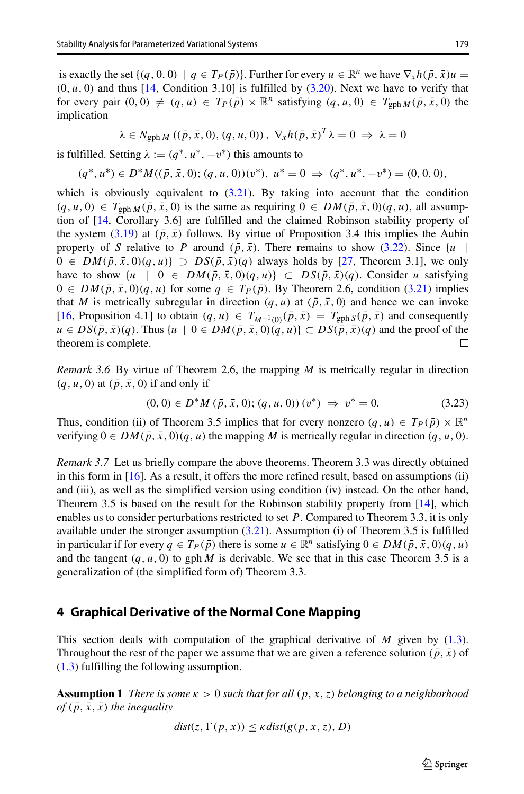is exactly the set  $\{(q, 0, 0) \mid q \in T_P(\bar{p})\}$ . Further for every  $u \in \mathbb{R}^n$  we have  $\nabla_x h(\bar{p}, \bar{x})u =$  $(0, u, 0)$  and thus  $[14,$  Condition 3.10] is fulfilled by  $(3.20)$ . Next we have to verify that for every pair  $(0, 0) \neq (q, u) \in T_P(\bar{p}) \times \mathbb{R}^n$  satisfying  $(q, u, 0) \in T_{\text{gph }M}(\bar{p}, \bar{x}, 0)$  the implication

$$
\lambda \in N_{\text{gph }M} \left( (\bar{p}, \bar{x}, 0), (q, u, 0) \right), \nabla_x h (\bar{p}, \bar{x})^T \lambda = 0 \implies \lambda = 0
$$

is fulfilled. Setting  $\lambda := (q^*, u^*, -v^*)$  this amounts to

$$
(q^*, u^*) \in D^*M((\bar{p}, \bar{x}, 0); (q, u, 0))(v^*), u^* = 0 \implies (q^*, u^*, -v^*) = (0, 0, 0),
$$

which is obviously equivalent to  $(3.21)$ . By taking into account that the condition  $(q, u, 0) \in T_{\text{gph }M}(\bar{p}, \bar{x}, 0)$  is the same as requiring  $0 \in DM(\bar{p}, \bar{x}, 0)$ , all assumption of [\[14,](#page-25-22) Corollary 3.6] are fulfilled and the claimed Robinson stability property of the system [\(3.19\)](#page-11-0) at  $(\bar{p}, \bar{x})$  follows. By virtue of Proposition 3.4 this implies the Aubin property of *S* relative to *P* around  $(\bar{p}, \bar{x})$ . There remains to show [\(3.22\)](#page-11-3). Since  $\{u$  |  $0 \in DM(\bar{p}, \bar{x}, 0)(q, u) \supset DS(\bar{p}, \bar{x})(q)$  always holds by [\[27,](#page-25-24) Theorem 3.1], we only have to show  $\{u \mid 0 \in DM(\bar{p}, \bar{x}, 0)(q, u)\} \subset DS(\bar{p}, \bar{x})(q)$ . Consider *u* satisfying 0 ∈  $DM(\bar{p}, \bar{x}, 0)(q, u)$  for some  $q \in T_P(\bar{p})$ . By Theorem 2.6, condition [\(3.21\)](#page-11-2) implies that *M* is metrically subregular in direction  $(q, u)$  at  $(\bar{p}, \bar{x}, 0)$  and hence we can invoke [\[16,](#page-25-9) Proposition 4.1] to obtain  $(q, u) \in T_{M^{-1}(0)}(\bar{p}, \bar{x}) = T_{\text{gph }S}(\bar{p}, \bar{x})$  and consequently *u* ∈ *DS*( $\bar{p}$ , $\bar{x}$ )(*q*). Thus {*u* | 0 ∈ *DM*( $\bar{p}$ , $\bar{x}$ , 0)( $\bar{q}$ , *u*)} ⊂ *DS*( $\bar{p}$ , $\bar{x}$ )( $\bar{q}$ ) and the proof of the theorem is complete.  $\Box$ theorem is complete.

*Remark 3.6* By virtue of Theorem 2.6, the mapping *M* is metrically regular in direction  $(q, u, 0)$  at  $(\bar{p}, \bar{x}, 0)$  if and only if

<span id="page-12-1"></span>
$$
(0,0) \in D^*M \left( \bar{p}, \bar{x}, 0 \right); (q, u, 0) \quad (v^*) \implies v^* = 0. \tag{3.23}
$$

Thus, condition (ii) of Theorem 3.5 implies that for every nonzero  $(q, u) \in T_P(\bar{p}) \times \mathbb{R}^n$ verifying  $0 \in DM(\bar{p}, \bar{x}, 0)$  *q, u*) the mapping *M* is metrically regular in direction *(q, u, 0)*.

*Remark 3.7* Let us briefly compare the above theorems. Theorem 3.3 was directly obtained in this form in  $[16]$ . As a result, it offers the more refined result, based on assumptions (ii) and (iii), as well as the simplified version using condition (iv) instead. On the other hand, Theorem 3.5 is based on the result for the Robinson stability property from [\[14\]](#page-25-22), which enables us to consider perturbations restricted to set *P*. Compared to Theorem 3.3, it is only available under the stronger assumption [\(3.21\)](#page-11-2). Assumption (i) of Theorem 3.5 is fulfilled in particular if for every  $q \in T_P(\bar{p})$  there is some  $u \in \mathbb{R}^n$  satisfying  $0 \in DM(\bar{p}, \bar{x}, 0)(q, u)$ and the tangent  $(q, u, 0)$  to gph *M* is derivable. We see that in this case Theorem 3.5 is a generalization of (the simplified form of) Theorem 3.3.

### <span id="page-12-0"></span>**4 Graphical Derivative of the Normal Cone Mapping**

This section deals with computation of the graphical derivative of *M* given by [\(1.3\)](#page-2-2). Throughout the rest of the paper we assume that we are given a reference solution  $(\bar{p}, \bar{x})$  of [\(1.3\)](#page-2-2) fulfilling the following assumption.

**Assumption 1** *There is some κ >* 0 *such that for all (p, x, z) belonging to a neighborhood of*  $(\bar{p}, \bar{x}, \bar{x})$  *the inequality* 

$$
dist(z, \Gamma(p, x)) \leq \kappa dist(g(p, x, z), D)
$$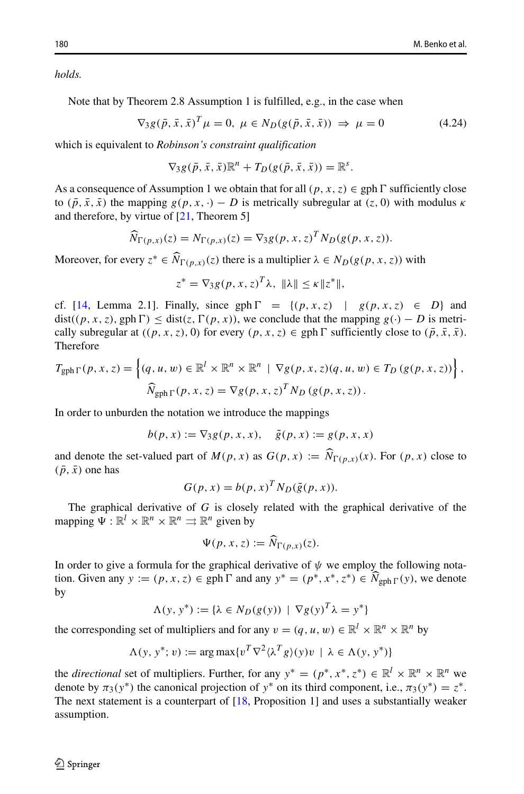*holds.*

Note that by Theorem 2.8 Assumption 1 is fulfilled, e.g., in the case when

<span id="page-13-0"></span>
$$
\nabla_3 g(\bar{p}, \bar{x}, \bar{x})^T \mu = 0, \ \mu \in N_D(g(\bar{p}, \bar{x}, \bar{x})) \implies \mu = 0 \tag{4.24}
$$

which is equivalent to *Robinson's constraint qualification*

$$
\nabla_3 g(\bar{p}, \bar{x}, \bar{x}) \mathbb{R}^n + T_D(g(\bar{p}, \bar{x}, \bar{x})) = \mathbb{R}^s.
$$

As a consequence of Assumption 1 we obtain that for all  $(p, x, z) \in gph \Gamma$  sufficiently close to  $(\bar{p}, \bar{x}, \bar{x})$  the mapping  $g(p, x, \cdot) - D$  is metrically subregular at  $(z, 0)$  with modulus  $\kappa$ and therefore, by virtue of [\[21,](#page-25-25) Theorem 5] ma $\sqrt{N}$ 

$$
\widehat{N}_{\Gamma(p,x)}(z) = N_{\Gamma(p,x)}(z) = \nabla_3 g(p,x,z)^T N_D(g(p,x,z)).
$$
  
Moreover, for every  $z^* \in \widehat{N}_{\Gamma(p,x)}(z)$  there is a multiplier  $\lambda \in N_D(g(p,x,z))$  with

$$
z^* = \nabla_3 g(p, x, z)^T \lambda, \|\lambda\| \leq \kappa \|z^*\|,
$$

cf. [\[14,](#page-25-22) Lemma 2.1]. Finally, since gph  $\Gamma = \{(p, x, z) \mid g(p, x, z) \in D\}$  and dist( $(p, x, z)$ , gph  $\Gamma$ )  $\leq$  dist( $z$ ,  $\Gamma(p, x)$ ), we conclude that the mapping  $g(\cdot) - D$  is metrically subregular at  $((p, x, z), 0)$  for every  $(p, x, z) \in \text{gph } \Gamma$  sufficiently close to  $(\bar{p}, \bar{x}, \bar{x})$ . Therefore

$$
T_{\text{gph }\Gamma}(p, x, z) = \left\{ (q, u, w) \in \mathbb{R}^l \times \mathbb{R}^n \times \mathbb{R}^n \mid \nabla g(p, x, z)(q, u, w) \in T_D(g(p, x, z)) \right\},\
$$

$$
\widehat{N}_{\text{gph }\Gamma}(p, x, z) = \nabla g(p, x, z)^T N_D(g(p, x, z)).
$$

In order to unburden the notation we introduce the mappings

$$
b(p, x) := \nabla_3 g(p, x, x), \quad \tilde{g}(p, x) := g(p, x, x)
$$

and denote the set-valued part of  $M(p, x)$  as  $G(p, x) := \hat{N}_{\Gamma(p, x)}(x)$ . For  $(p, x)$  close to the set-valued part of  $M(p, x)$  as  $G(p, x) := \hat{N}_{\Gamma(p, x)}(x)$ . For  $(p, x)$  close to  $(\bar{p}, \bar{x})$  one has

$$
G(p, x) = b(p, x)^T N_D(\tilde{g}(p, x)).
$$

The graphical derivative of *G* is closely related with the graphical derivative of the pping  $\Psi : \mathbb{R}^l \times \mathbb{R}^n \times \mathbb{R}^n \Rightarrow \mathbb{R}^n$  given by<br> $\Psi(p, x, z) := \widehat{N}_{\Gamma(p, x)}(z)$ . mapping  $\Psi : \mathbb{R}^l \times \mathbb{R}^n \times \mathbb{R}^n \Rightarrow \mathbb{R}^n$  given by

$$
\Psi(p, x, z) := \widehat{N}_{\Gamma(p, x)}(z).
$$

In order to give a formula for the graphical derivative of  $\psi$  we employ the following nota- $\Psi(p, x, z) := \widehat{N}_{\Gamma(p, x)}(z).$ <br>In order to give a formula for the graphical derivative of  $\psi$  we employ the following notation. Given any *y* := *(p, x, z)* ∈ gph  $\Gamma$  and any  $y^* = (p^*, x^*, z^*) \in \widehat{N}_{gph\Gamma}(y)$ , we denote by

$$
\Lambda(y, y^*) := \{ \lambda \in N_D(g(y)) \mid \nabla g(y)^T \lambda = y^* \}
$$

the corresponding set of multipliers and for any  $v = (q, u, w) \in \mathbb{R}^l \times \mathbb{R}^n \times \mathbb{R}^n$  by

$$
\Lambda(y, y^*; v) := \arg \max \{ v^T \nabla^2 \langle \lambda^T g \rangle(y) v \mid \lambda \in \Lambda(y, y^*) \}
$$

the *directional* set of multipliers. Further, for any  $y^* = (p^*, x^*, z^*) \in \mathbb{R}^l \times \mathbb{R}^n \times \mathbb{R}^n$  we denote by  $\pi_3(y^*)$  the canonical projection of  $y^*$  on its third component, i.e.,  $\pi_3(y^*) = z^*$ . The next statement is a counterpart of [\[18,](#page-25-10) Proposition 1] and uses a substantially weaker assumption.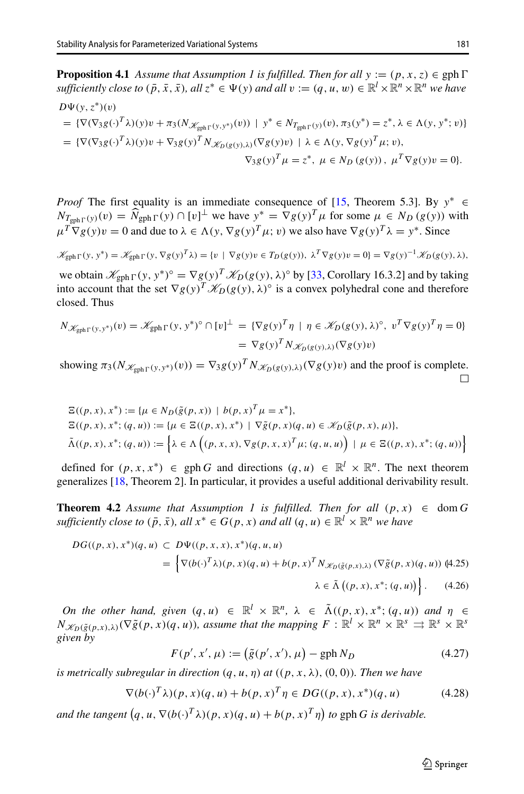**Proposition 4.1** *Assume that Assumption 1 is fulfilled. Then for all*  $y := (p, x, z) \in \text{gph } \Gamma$ *sufficiently close to*  $(\bar{p}, \bar{x}, \bar{x})$ *, all*  $z^* \in \Psi(y)$  *and all*  $v := (q, u, w) \in \mathbb{R}^l \times \mathbb{R}^n \times \mathbb{R}^n$  *we have*  $D\Psi(\nu, z^*)(v)$ 

= {
$$
\nabla
$$
( $\nabla_3 g(\cdot)$ <sup>T</sup> $\lambda$ )(y)v +  $\pi_3$ ( $N_{\mathscr{K}_{gph}\Gamma(y,y^*)}(v)$ ) |  $y^* \in N_{T_{gph}\Gamma(y)}(v)$ ,  $\pi_3(y^*) = z^*$ ,  $\lambda \in \Lambda(y, y^*; v)$ }  
\n= { $\nabla$ ( $\nabla_3 g(\cdot)$ <sup>T</sup> $\lambda$ )(y)v +  $\nabla_3 g(y)$ <sup>T</sup> $N_{\mathscr{K}_{D}(g(y),\lambda)}$ ( $\nabla g(y)v$ ) |  $\lambda \in \Lambda(y, \nabla g(y)$ <sup>T</sup> $\mu$ ; v),  
\n $\nabla_3 g(y)$ <sup>T</sup> $\mu = z^*$ ,  $\mu \in N_D(g(y))$ ,  $\mu$ <sup>T</sup> $\nabla g(y)v = 0$  }.

*Proof* The first equality is an immediate consequence of [\[15,](#page-25-8) Theorem 5.3]. By  $y^*$  ∈ *Proof* The first equality is an immediate consequence of [15, Theorem 5.3]. By  $y^* \in N_{T_{\text{gph}}\Gamma}(y)(v) = \hat{N}_{\text{gph}}\Gamma(y) \cap [v]^{\perp}$  we have  $y^* = \nabla g(y)^T \mu$  for some  $\mu \in N_D(g(y))$  with  $\mu^T \nabla g(y) v = 0$  and due to  $\lambda \in \Lambda(y, \nabla g(y)^T \mu; v)$  we also have  $\nabla g(y)^T \lambda = y^*$ . Since

$$
\mathscr{K}_{\text{gph}\,\Gamma}(y,\,y^*) = \mathscr{K}_{\text{gph}\,\Gamma}(y,\,\nabla g(y)^T\lambda) = \{v \mid \nabla g(y)v \in T_D(g(y)),\,\,\lambda^T \nabla g(y)v = 0\} = \nabla g(y)^{-1} \mathscr{K}_D(g(y),\lambda),
$$

we obtain  $\mathcal{K}_{\text{gph}} \Gamma(y, y^*)^{\circ} = \nabla g(y)^T \mathcal{K}_D(g(y), \lambda)^{\circ}$  by [\[33,](#page-26-4) Corollary 16.3.2] and by taking into account that the set  $\nabla g(y)^T \mathcal{K}_D(g(y), \lambda)^\circ$  is a convex polyhedral cone and therefore closed. Thus

$$
N_{\mathscr{K}_{\text{gph}}\Gamma(y,y^*)}(v) = \mathscr{K}_{\text{gph}}\Gamma(y,y^*)^\circ \cap [v]^\perp = \{\nabla g(y)^T \eta \mid \eta \in \mathscr{K}_D(g(y),\lambda)^\circ, v^T \nabla g(y)^T \eta = 0\}
$$
  
= 
$$
\nabla g(y)^T N_{\mathscr{K}_D(g(y),\lambda)}(\nabla g(y)v)
$$

showing  $\pi_3(N_{\mathscr{K}_{gph} \Gamma}(y, y^*)(v)) = \nabla_3 g(y)^T N_{\mathscr{K}_D(g(y), \lambda)}(\nabla g(y)v)$  and the proof is complete.

$$
\begin{aligned} &\Xi((p,x),x^*) := \{ \mu \in N_D(\tilde{g}(p,x)) \mid b(p,x)^T \mu = x^* \}, \\ &\Xi((p,x),x^*; (q,u)) := \{ \mu \in \Xi((p,x),x^*) \mid \nabla \tilde{g}(p,x)(q,u) \in \mathcal{K}_D(\tilde{g}(p,x),\mu) \}, \\ &\tilde{\Lambda}((p,x),x^*; (q,u)) := \left\{ \lambda \in \Lambda \left( (p,x,x), \nabla g(p,x,x)^T \mu; (q,u,u) \right) \mid \mu \in \Xi((p,x),x^*; (q,u)) \right\} \end{aligned}
$$

defined for  $(p, x, x^*) \in \text{gph } G$  and directions  $(q, u) \in \mathbb{R}^l \times \mathbb{R}^n$ . The next theorem generalizes [\[18,](#page-25-10) Theorem 2]. In particular, it provides a useful additional derivability result.

**Theorem 4.2** *Assume that Assumption 1 is fulfilled. Then for all*  $(p, x) \in \text{dom } G$ *sufficiently close to*  $(\bar{p}, \bar{x})$ *, all*  $x^* \in G(p, x)$  *and all*  $(q, u) \in \mathbb{R}^l \times \mathbb{R}^n$  *we have* 

<span id="page-14-0"></span>
$$
DG((p, x), x^*)(q, u) \subset D\Psi((p, x, x), x^*)(q, u, u)
$$
  
=  $\left\{\nabla(b(\cdot)^T \lambda)(p, x)(q, u) + b(p, x)^T N_{\mathscr{K}_D(\tilde{g}(p, x), \lambda)} (\nabla \tilde{g}(p, x)(q, u)) \right\}.$  (4.26)

*On the other hand, given*  $(q, u) \in \mathbb{R}^l \times \mathbb{R}^n$ ,  $\lambda \in \tilde{\Lambda}((p, x), x^*; (q, u))$  *and*  $\eta \in$  $N_{\mathscr{K}_D(\tilde{g}(p,x),\lambda)}(\nabla \tilde{g}(p,x)(q,u))$ *, assume that the mapping*  $F : \mathbb{R}^l \times \mathbb{R}^n \times \mathbb{R}^s \implies \mathbb{R}^s \times \mathbb{R}^s$ *given by u*)  $\in \mathbb{R}^l \times \mathbb{R}^n$ ,  $\lambda$ <br>*sssume that the mappi*<br>*,*  $\mu$ ) :=  $(\tilde{g}(p', x'), \mu)$ 

<span id="page-14-1"></span>
$$
F(p', x', \mu) := (\tilde{g}(p', x'), \mu) - \text{gph } N_D \tag{4.27}
$$

*is metrically subregular in direction (q, u, η) at ((p, x, λ), (*0*,* 0*)). Then we have* 

<span id="page-14-2"></span>
$$
\nabla(b(\cdot)^T \lambda)(p, x)(q, u) + b(p, x)^T \eta \in DG((p, x), x^*)(q, u) \tag{4.28}
$$

*and the tangent*  $(q, u, \eta)$  *at*  $((p, x, \lambda), (0, 0))$ . *Then we have*<br>  $\nabla (b(\cdot)^T \lambda)(p, x)(q, u) + b(p, x)^T \eta \in DG((p, x), x^*)(q, u)$ <br> *and the tangent*  $(q, u, \nabla (b(\cdot)^T \lambda)(p, x)(q, u) + b(p, x)^T \eta)$  *to gph G is derivable.* 

 $\mathcal{D}$  Springer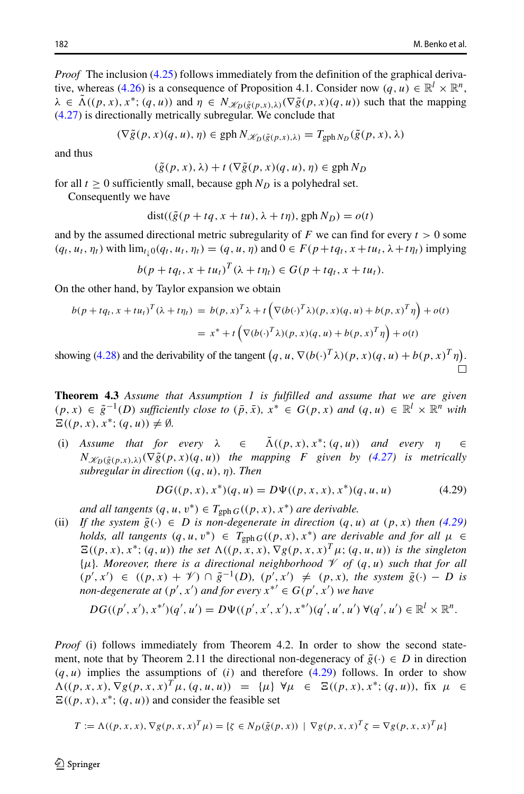*Proof* The inclusion [\(4.25\)](#page-14-0) follows immediately from the definition of the graphical deriva-tive, whereas [\(4.26\)](#page-14-0) is a consequence of Proposition 4.1. Consider now  $(q, u) \in \mathbb{R}^l \times \mathbb{R}^n$ ,  $\lambda \in \tilde{\Lambda}((p, x), x^*; (q, u))$  and  $\eta \in N_{\mathscr{K}_D(\tilde{g}(p, x), \lambda)}(\nabla \tilde{g}(p, x)(q, u))$  such that the mapping [\(4.27\)](#page-14-1) is directionally metrically subregular. We conclude that

$$
(\nabla \tilde{g}(p, x)(q, u), \eta) \in \text{gph}\, N_{\mathscr{K}_D(\tilde{g}(p, x), \lambda)} = T_{\text{gph}\,N_D}(\tilde{g}(p, x), \lambda)
$$

and thus

$$
(\tilde{g}(p, x), \lambda) + t \left( \nabla \tilde{g}(p, x)(q, u), \eta \right) \in \text{gph } N_D
$$

for all  $t \geq 0$  sufficiently small, because gph  $N_D$  is a polyhedral set.

Consequently we have

$$
dist((\tilde{g}(p+tq, x+tu), \lambda+t\eta), gph N_D) = o(t)
$$

and by the assumed directional metric subregularity of  $F$  we can find for every  $t > 0$  some  $(q_t, u_t, \eta_t)$  with  $\lim_{t \to 0} (q_t, u_t, \eta_t) = (q, u, \eta)$  and  $0 \in F(p + tq_t, x + tu_t, \lambda + t\eta_t)$  implying

$$
b(p+tq_t, x+tu_t)^T(\lambda+t\eta_t) \in G(p+tq_t, x+tu_t).
$$

On the other hand, by Taylor expansion we obtain

$$
b(p + tq_t, x + tu_t)^T (\lambda + t\eta_t) = b(p, x)^T \lambda + t \left( \nabla (b(\cdot)^T \lambda)(p, x)(q, u) + b(p, x)^T \eta \right) + o(t)
$$
  

$$
= x^* + t \left( \nabla (b(\cdot)^T \lambda)(p, x)(q, u) + b(p, x)^T \eta \right) + o(t)
$$
  
showing (4.28) and the derivability of the tangent  $(q, u, \nabla (b(\cdot)^T \lambda)(p, x)(q, u) + b(p, x)^T \eta)$ .

<span id="page-15-1"></span>**Theorem 4.3** *Assume that Assumption 1 is fulfilled and assume that we are given*  $(p, x)$  ∈  $\tilde{g}^{-1}(D)$  *sufficiently close to*  $(\bar{p}, \bar{x})$ ,  $x^*$  ∈  $G(p, x)$  *and*  $(q, u)$  ∈  $\mathbb{R}^l \times \mathbb{R}^n$  *with*  $\Xi((p, x), x^*; (q, u)) \neq \emptyset$ *.* 

(i) Assume that for every  $\lambda \in \tilde{\Lambda}((p, x), x^*; (q, u))$  and every  $\eta \in$  $N_{\mathscr{K}_D(\tilde{g}(p,x),\lambda)}(\nabla \tilde{g}(p,x)(q,u))$  *the mapping F given by [\(4.27\)](#page-14-1) is metrically subregular in direction ((q, u), η). Then*

<span id="page-15-0"></span>
$$
DG((p, x), x^*)(q, u) = D\Psi((p, x, x), x^*)(q, u, u)
$$
\n(4.29)

*and all tangents*  $(q, u, v^*) \in T_{\text{gph }G}((p, x), x^*)$  *are derivable.* 

(ii) If the system  $\tilde{g}(\cdot) \in D$  is non-degenerate in direction  $(q, u)$  at  $(p, x)$  then [\(4.29\)](#page-15-0) *holds, all tangents*  $(q, u, v^*) \in T_{\text{gph }G}((p, x), x^*)$  *are derivable and for all*  $\mu \in$  $E((p, x), x^*; (q, u))$  *the set*  $\Lambda((p, x, x), \nabla g(p, x, x)^T \mu; (q, u, u))$  *is the singleton*  $\{\mu\}$ *. Moreover, there is a directional neighborhood*  $\mathcal V$  *of*  $(q, u)$  *such that for all*  $(p', x') \in ((p, x) + \mathcal{V}) \cap \tilde{g}^{-1}(D), (p', x') \neq (p, x),$  the system  $\tilde{g}(\cdot) - D$  is *non-degenerate at*  $(p', x')$  *and for every*  $x^{*'} \in G(p', x')$  *we have* 

$$
DG((p',x'),x^{*'})(q',u') = D\Psi((p',x',x'),x^{*'})(q',u',u') \ \forall (q',u') \in \mathbb{R}^l \times \mathbb{R}^n.
$$

*Proof* (i) follows immediately from Theorem 4.2. In order to show the second statement, note that by Theorem 2.11 the directional non-degeneracy of  $\tilde{g}(\cdot) \in D$  in direction *(q, u)* implies the assumptions of *(i)* and therefore [\(4.29\)](#page-15-0) follows. In order to show  $\Lambda((p, x, x), \nabla g(p, x, x)^T \mu, (q, u, u)) = {\mu} \ \forall \mu \in \Xi((p, x), x^*; (q, u)),$  fix  $\mu \in$  $E((p, x), x^*; (q, u))$  and consider the feasible set

$$
T := \Lambda((p, x, x), \nabla g(p, x, x)^T \mu) = \{ \zeta \in N_D(\tilde{g}(p, x)) \mid \nabla g(p, x, x)^T \zeta = \nabla g(p, x, x)^T \mu \}
$$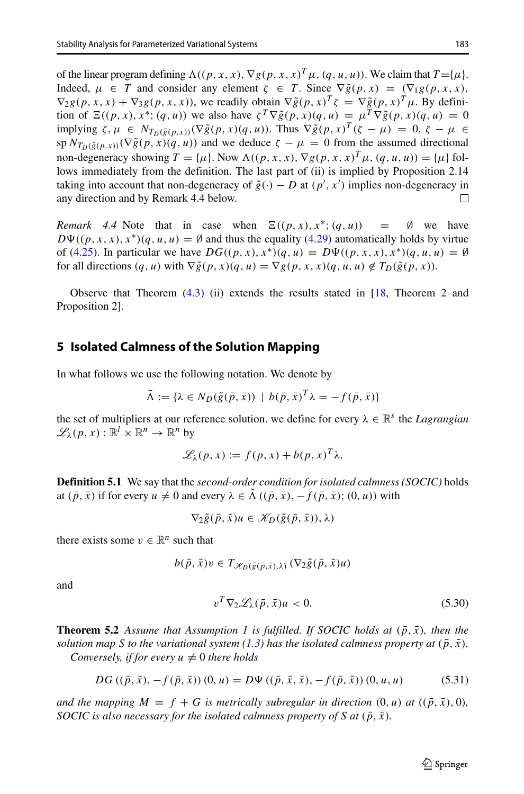of the linear program defining  $\Lambda((p, x, x), \nabla g(p, x, x)^T \mu, (q, u, u))$ . We claim that  $T = {\mu}$ . Indeed,  $\mu \in T$  and consider any element  $\zeta \in T$ . Since  $\nabla \tilde{g}(p, x) = (\nabla_1 g(p, x, x))$ ,  $\nabla_2 g(p, x, x) + \nabla_3 g(p, x, x)$ , we readily obtain  $\nabla \tilde{g}(p, x)^T \zeta = \nabla \tilde{g}(p, x)^T \mu$ . By definition of  $\Xi((p, x), x^*; (q, u))$  we also have  $\zeta^T \nabla \tilde{g}(p, x)(q, u) = \mu^T \nabla \tilde{g}(p, x)(q, u) = 0$ implying  $\zeta, \mu \in N_{T_D(\tilde{g}(p,x))}(\nabla \tilde{g}(p,x)(q,u))$ . Thus  $\nabla \tilde{g}(p,x)^T(\zeta - \mu) = 0, \zeta - \mu \in$ sp  $N_{T_D(\tilde{g}(p,x))}(\nabla \tilde{g}(p,x)(q,u))$  and we deduce  $\zeta - \mu = 0$  from the assumed directional non-degeneracy showing  $T = {\mu}$ . Now  $\Lambda((p, x, x), \nabla g(p, x, x)^T \mu, (q, u, u)) = {\mu}$  follows immediately from the definition. The last part of (ii) is implied by Proposition 2.14 taking into account that non-degeneracy of  $\tilde{g}(\cdot) - D$  at  $(p', x')$  implies non-degeneracy in any direction and by Remark 4.4 below. П

*Remark 4.4* Note that in case when  $\Xi((p, x), x^*; (q, u)) = \emptyset$  we have  $D\Psi((p, x, x), x^*)(q, u, u) = \emptyset$  and thus the equality [\(4.29\)](#page-15-0) automatically holds by virtue of [\(4.25\)](#page-14-0). In particular we have  $DG((p, x), x^*)(q, u) = D\Psi((p, x, x), x^*)(q, u, u) = \emptyset$ for all directions  $(q, u)$  with  $\nabla \tilde{g}(p, x)(q, u) = \nabla g(p, x, x)(q, u, u) \notin T_D(\tilde{g}(p, x))$ .

Observe that Theorem  $(4.3)$  (ii) extends the results stated in  $[18,$  Theorem 2 and Proposition 2].

### <span id="page-16-0"></span>**5 Isolated Calmness of the Solution Mapping**

In what follows we use the following notation. We denote by

$$
\bar{\Lambda} := \{ \lambda \in N_D(\tilde{g}(\bar{p}, \bar{x})) \mid b(\bar{p}, \bar{x})^T \lambda = -f(\bar{p}, \bar{x}) \}
$$

the set of multipliers at our reference solution. we define for every  $\lambda \in \mathbb{R}^s$  the *Lagrangian*  $\mathscr{L}_\lambda(p, x) : \mathbb{R}^l \times \mathbb{R}^n \to \mathbb{R}^n$  by

$$
\mathscr{L}_{\lambda}(p, x) := f(p, x) + b(p, x)^{T} \lambda.
$$

**Definition 5.1** We say that the *second-order condition for isolated calmness (SOCIC)* holds at  $(\bar{p}, \bar{x})$  if for every  $u \neq 0$  and every  $\lambda \in \Lambda$   $((\bar{p}, \bar{x}), -f(\bar{p}, \bar{x}); (0, u))$  with

 $\nabla_2 \tilde{g}(\bar{p}, \bar{x})u \in \mathscr{K}_D(\tilde{g}(\bar{p}, \bar{x})), \lambda$ 

there exists some  $v \in \mathbb{R}^n$  such that

$$
b(\bar{p}, \bar{x})v \in T_{\mathscr{K}_D(\tilde{g}(\bar{p}, \bar{x}), \lambda)} (\nabla_2 \tilde{g}(\bar{p}, \bar{x})u)
$$

and

<span id="page-16-1"></span>
$$
v^T \nabla_2 \mathcal{L}_\lambda(\bar{p}, \bar{x}) u < 0. \tag{5.30}
$$

**Theorem 5.2** Assume that Assumption 1 is fulfilled. If SOCIC holds at  $(\bar{p}, \bar{x})$ , then the *solution map S to the variational system* [\(1.3\)](#page-2-2) has the isolated calmness property at  $(\bar{p}, \bar{x})$ .

*Conversely, if for every*  $u \neq 0$  *there holds* 

<span id="page-16-2"></span>
$$
DG((\bar{p}, \bar{x}), -f(\bar{p}, \bar{x})) (0, u) = D\Psi ((\bar{p}, \bar{x}, \bar{x}), -f(\bar{p}, \bar{x})) (0, u, u)
$$
(5.31)

*and the mapping*  $M = f + G$  *is metrically subregular in direction*  $(0, u)$  *at*  $((\bar{p}, \bar{x}), 0)$ *, SOCIC is also necessary for the isolated calmness property of <i>S* at  $(\bar{p}, \bar{x})$ .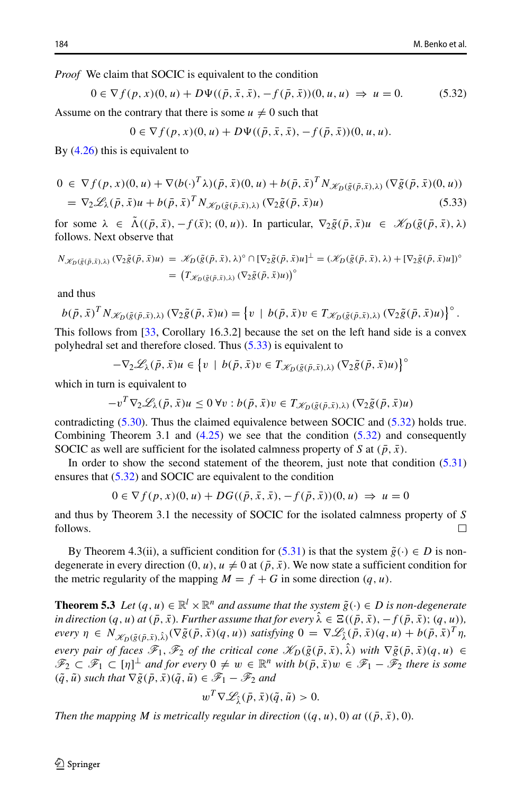*Proof* We claim that SOCIC is equivalent to the condition

<span id="page-17-1"></span>
$$
0 \in \nabla f(p, x)(0, u) + D\Psi((\bar{p}, \bar{x}, \bar{x}), -f(\bar{p}, \bar{x}))(0, u, u) \Rightarrow u = 0.
$$
 (5.32)

Assume on the contrary that there is some  $u \neq 0$  such that

$$
0 \in \nabla f(p, x)(0, u) + D\Psi((\bar{p}, \bar{x}, \bar{x}), -f(\bar{p}, \bar{x}))(0, u, u).
$$

By [\(4.26\)](#page-14-0) this is equivalent to

<span id="page-17-0"></span>
$$
0 \in \nabla f(p, x)(0, u) + \nabla (b(\cdot)^T \lambda)(\bar{p}, \bar{x})(0, u) + b(\bar{p}, \bar{x})^T N_{\mathscr{K}_D(\tilde{g}(\bar{p}, \bar{x}), \lambda)} (\nabla \tilde{g}(\bar{p}, \bar{x})(0, u))
$$
  
= 
$$
\nabla_2 \mathscr{L}_{\lambda}(\bar{p}, \bar{x})u + b(\bar{p}, \bar{x})^T N_{\mathscr{K}_D(\tilde{g}(\bar{p}, \bar{x}), \lambda)} (\nabla_2 \tilde{g}(\bar{p}, \bar{x})u)
$$
(5.33)

for some  $\lambda \in \tilde{\Lambda}((\bar{p}, \bar{x}), -f(\bar{x}); (0, u))$ . In particular,  $\nabla_2 \tilde{g}(\bar{p}, \bar{x})u \in \mathcal{K}_D(\tilde{g}(\bar{p}, \bar{x}), \lambda)$ follows. Next observe that

follows. Next observe that  
\n
$$
N_{\mathscr{K}_{D}(\tilde{g}(\bar{p},\bar{x}),\lambda)} (\nabla_{2}\tilde{g}(\bar{p},\bar{x})u) = \mathscr{K}_{D}(\tilde{g}(\bar{p},\bar{x}),\lambda)^{\circ} \cap [\nabla_{2}\tilde{g}(\bar{p},\bar{x})u]^{\perp} = (\mathscr{K}_{D}(\tilde{g}(\bar{p},\bar{x}),\lambda) + [\nabla_{2}\tilde{g}(\bar{p},\bar{x})u])^{\circ}
$$
\nand thus  
\n
$$
b(\bar{p},\bar{x})^{T} N_{\mathscr{K}_{D}(\tilde{g}(\bar{p},\bar{x}),\lambda)} (\nabla_{2}\tilde{g}(\bar{p},\bar{x})u) = \{v \mid b(\bar{p},\bar{x})v \in T_{\mathscr{K}_{D}(\tilde{g}(\bar{p},\bar{x}),\lambda)} (\nabla_{2}\tilde{g}(\bar{p},\bar{x})u)\}^{\circ}.
$$

and thus

$$
b(\bar{p}, \bar{x})^T N_{\mathscr{K}_D(\tilde{g}(\bar{p}, \bar{x}), \lambda)} (\nabla_2 \tilde{g}(\bar{p}, \bar{x}) u) = \left\{ v \mid b(\bar{p}, \bar{x}) v \in T_{\mathscr{K}_D(\tilde{g}(\bar{p}, \bar{x}), \lambda)} (\nabla_2 \tilde{g}(\bar{p}, \bar{x}) u) \right\}^\circ.
$$

This follows from [\[33,](#page-26-4) Corollary 16.3.2] because the set on the left hand side is a convex polyhedral set and therefore closed. Thus [\(5.33\)](#page-17-0) is equivalent to  $\mathcal{L}_D(g(p,x),\lambda) \rightarrow 2s \text{ (}P)$ <br>from [33, Corollary<br>et and therefore clos<br> $-\nabla_2 \mathcal{L}_\lambda(\bar{p},\bar{x})u \in$ 

$$
-\nabla_2 \mathscr{L}_{\lambda}(\bar{p}, \bar{x})u \in \left\{v \mid b(\bar{p}, \bar{x})v \in T_{\mathscr{K}_{D}(\tilde{g}(\bar{p}, \bar{x}), \lambda)} (\nabla_2 \tilde{g}(\bar{p}, \bar{x})u)\right\}^{\circ}
$$

which in turn is equivalent to

$$
-v^T \nabla_2 \mathscr{L}_\lambda(\bar{p}, \bar{x}) u \leq 0 \,\forall v : b(\bar{p}, \bar{x}) v \in T_{\mathscr{K}_D(\tilde{g}(\bar{p}, \bar{x}), \lambda)} (\nabla_2 \tilde{g}(\bar{p}, \bar{x}) u)
$$

contradicting [\(5.30\)](#page-16-1). Thus the claimed equivalence between SOCIC and [\(5.32\)](#page-17-1) holds true. Combining Theorem 3.1 and [\(4.25\)](#page-14-0) we see that the condition [\(5.32\)](#page-17-1) and consequently SOCIC as well are sufficient for the isolated calmness property of *S* at  $(\bar{p}, \bar{x})$ .

In order to show the second statement of the theorem, just note that condition [\(5.31\)](#page-16-2) ensures that [\(5.32\)](#page-17-1) and SOCIC are equivalent to the condition

$$
0 \in \nabla f(p, x)(0, u) + DG((\bar{p}, \bar{x}, \bar{x}), -f(\bar{p}, \bar{x}))(0, u) \implies u = 0
$$

and thus by Theorem 3.1 the necessity of SOCIC for the isolated calmness property of *S* follows.  $\Box$ 

By Theorem 4.3(ii), a sufficient condition for [\(5.31\)](#page-16-2) is that the system  $\tilde{g}(\cdot) \in D$  is nondegenerate in every direction  $(0, u)$ ,  $u \neq 0$  at  $(\bar{p}, \bar{x})$ . We now state a sufficient condition for the metric regularity of the mapping  $M = f + G$  in some direction  $(q, u)$ .

**Theorem 5.3** *Let*  $(q, u) \in \mathbb{R}^l \times \mathbb{R}^n$  *and assume that the system*  $\tilde{g}(\cdot) \in D$  *is non-degenerate in direction*  $(q, u)$  *at*  $(\bar{p}, \bar{x})$ *. Further assume that for every*  $\hat{\lambda} \in \Xi((\bar{p}, \bar{x}), -f(\bar{p}, \bar{x})$ *;*  $(q, u)$ *)*, every  $\eta \in N_{\mathscr{K}_{D}(\tilde{g}(\bar{p},\bar{x}),\hat{\lambda})}(\nabla \tilde{g}(\bar{p},\bar{x})(q,u))$  satisfying  $0 = \nabla \mathscr{L}_{\hat{\lambda}}(\bar{p},\bar{x})(q,u) + b(\bar{p},\bar{x})^{T}\eta$ , *every pair of faces*  $\mathscr{F}_1, \mathscr{F}_2$  *of the critical cone*  $\mathscr{K}_D(\tilde{g}(\bar{p},\bar{x}), \hat{\lambda})$  *with*  $\nabla \tilde{g}(\bar{p},\bar{x})(q, u) \in$  $\mathscr{F}_1 \subset \mathscr{F}_1 \subset [\eta]^\perp$  and for every  $0 \neq w \in \mathbb{R}^n$  with  $b(\bar{p}, \bar{x})w \in \mathscr{F}_1 - \bar{\mathscr{F}}_2$  there is some *(* $\tilde{q}$ *,*  $\tilde{u}$ *) such that*  $\nabla \tilde{g}(\bar{p}, \bar{x})(\tilde{q}, \tilde{u}) \in \mathcal{F}_1 - \mathcal{F}_2$  *and* 

$$
w^T \nabla \mathscr{L}_{\hat{\lambda}}(\bar{p}, \bar{x})(\tilde{q}, \tilde{u}) > 0.
$$

*Then the mapping M is metrically regular in direction*  $((q, u), 0)$  *at*  $((\bar{p}, \bar{x}), 0)$ *.*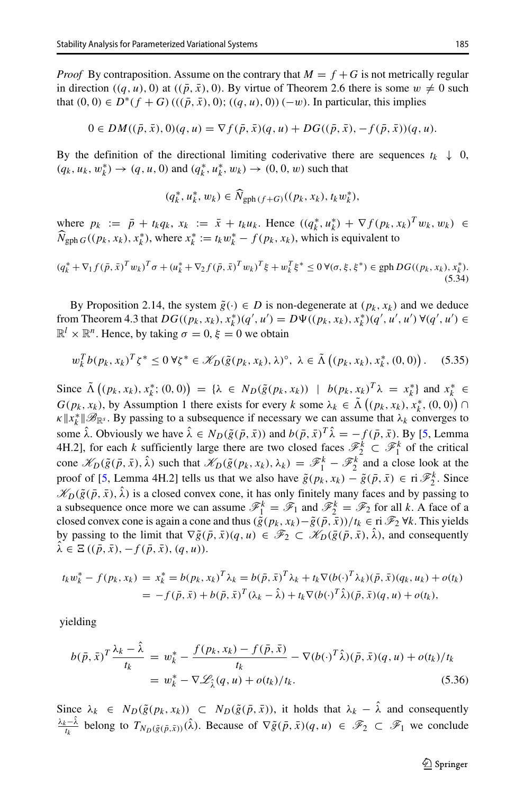*Proof* By contraposition. Assume on the contrary that  $M = f + G$  is not metrically regular in direction  $((q, u), 0)$  at  $((\bar{p}, \bar{x}), 0)$ . By virtue of Theorem 2.6 there is some  $w \neq 0$  such that  $(0, 0) \in D^*(f + G)((p, \bar{x}), 0); ((q, u), 0))(-w)$ . In particular, this implies

$$
0 \in DM((\bar{p}, \bar{x}), 0)(q, u) = \nabla f(\bar{p}, \bar{x})(q, u) + DG((\bar{p}, \bar{x}), -f(\bar{p}, \bar{x}))(q, u).
$$

By the definition of the directional limiting coderivative there are sequences  $t_k \downarrow 0$ , *(q<sub>k</sub>, u<sub>k</sub>, w*<sup>\*</sup><sub>*k*</sub>) → *(q, u, 0)* and *(q*<sup>\*</sup><sub>*k*</sub>, *u*<sup>\*</sup><sub>*k*</sub>, *w*<sub>*k*</sub>) → *(0, 0, <i>w*) such that *k*  $(q_k^*, u_k^*, w_k)$ <br>  $(k, w_k) \in \widehat{N}_k$ 

$$
(q_k^*, u_k^*, w_k) \in \widehat{N}_{\text{gph}(f+G)}((p_k, x_k), t_k w_k^*),
$$

where  $p_k := \bar{p} + t_k q_k$ ,  $x_k := \bar{x} + t_k u_k$ . Hence  $((q_k^*, u_k^*) + \nabla f(p_k, x_k)^T w_k, w_k) \in$ *N* $f_{\text{gph }G}((p_k, x_k), x_k^*)$ , where  $x_k^* := t_k w_k^* - f(p_k, x_k)$ , which is equivalent to

<span id="page-18-2"></span>
$$
(q_k^* + \nabla_1 f(\bar{p}, \bar{x})^T w_k)^T \sigma + (u_k^* + \nabla_2 f(\bar{p}, \bar{x})^T w_k)^T \xi + w_k^T \xi^* \le 0 \,\forall (\sigma, \xi, \xi^*) \in \text{gph } DG((p_k, x_k), x_k^*).
$$
\n(5.34)

By Proposition 2.14, the system  $\tilde{g}(\cdot) \in D$  is non-degenerate at  $(p_k, x_k)$  and we deduce from Theorem 4.3 that  $DG((p_k, x_k), x_k^*)(q', u') = D\Psi((p_k, x_k), x_k^*)(q', u', u') \forall (q', u') \in \mathbb{R}^l \times \mathbb{R}^n$ . Hence, by taking  $\sigma = 0$ ,  $\xi = 0$  we obtain<br>  $w_k^T b(p_k, x_k)^T \zeta^* \le 0 \forall \zeta^* \in \mathcal{K}_D(\tilde{g}(p_k, x_k), \lambda)^\circ, \lambda \in \tilde{\Lambda}((p_k, x_k), x_k^*, (0, 0))$ .  $\mathbb{R}^l \times \mathbb{R}^n$ . Hence, by taking  $\sigma = 0$ ,  $\xi = 0$  we obtain

$$
w_k^T b(p_k, x_k)^T \zeta^* \le 0 \,\forall \zeta^* \in \mathcal{K}_D(\tilde{g}(p_k, x_k), \lambda)^\circ, \ \lambda \in \tilde{\Lambda} \left( (p_k, x_k), x_k^*, (0, 0) \right). \tag{5.35}
$$
  
Since  $\tilde{\Lambda} \left( (p_k, x_k), x_k^*; (0, 0) \right) = \{ \lambda \in N_D(\tilde{g}(p_k, x_k)) \mid b(p_k, x_k)^T \lambda = x_k^* \}$  and  $x_k^* \in$ 

<span id="page-18-1"></span> $w_k^T b(p_k, x_k)^T \zeta^* \le 0 \forall \zeta^* \in \mathcal{K}_D(\tilde{g}(p_k, x_k), \lambda)^\circ, \ \lambda \in \tilde{\Lambda}((p_k, x_k))$ <br>
Since  $\tilde{\Lambda}((p_k, x_k), x_k^*; (0, 0)) = {\lambda \in N_D(\tilde{g}(p_k, x_k)) \mid b(p_k, x_k)}$ <br>  $G(p_k, x_k)$ , by Assumption 1 there exists for every *k* some  $\lambda_k \in \tilde{\Lambda}$  $(p_k, x_k), x_k^*, (0, 0) \cap$  $\kappa \|x_k^*\| \mathcal{B}_{\mathbb{R}^s}$ . By passing to a subsequence if necessary we can assume that  $\lambda_k$  converges to some  $\hat{\lambda}$ . Obviously we have  $\hat{\lambda} \in N_D(\tilde{g}(\bar{p},\bar{x}))$  and  $b(\bar{p},\bar{x})^T\hat{\lambda} = -f(\bar{p},\bar{x})$ . By [\[5,](#page-25-0) Lemma 4H.2], for each *k* sufficiently large there are two closed faces  $\mathcal{F}_2^k \subset \mathcal{F}_1^k$  of the critical cone  $\mathscr{K}_D(\tilde{g}(\bar{p},\bar{x}),\hat{\lambda})$  such that  $\mathscr{K}_D(\tilde{g}(p_k,x_k),\lambda_k) = \mathscr{F}_1^k - \mathscr{F}_2^k$  and a close look at the proof of [\[5,](#page-25-0) Lemma 4H.2] tells us that we also have  $\tilde{g}(p_k, x_k) - \tilde{g}(\bar{p}, \bar{x}) \in \mathbb{r}^2 \mathbb{F}_2^k$ . Since  $\mathscr{K}_D(\tilde{g}(\bar{p},\bar{x}),\hat{\lambda})$  is a closed convex cone, it has only finitely many faces and by passing to a subsequence once more we can assume  $\mathcal{F}_1^k = \mathcal{F}_1$  and  $\mathcal{F}_2^k = \mathcal{F}_2$  for all *k*. A face of a closed convex cone is again a cone and thus  $(\tilde{g}(p_k, x_k) - \tilde{g}(\bar{p}, \bar{x}))/t_k \in \mathbb{R}^3$   $\forall k$ . This yields by passing to the limit that  $\nabla \tilde{g}(\bar{p}, \bar{x})(q, u) \in \mathscr{F}_2 \subset \mathscr{K}_D(\bar{g}(\bar{p}, \bar{x}), \hat{\lambda})$ , and consequently  $\hat{\lambda} \in \Xi\left((\bar{p}, \bar{x}), -f(\bar{p}, \bar{x}), (q, u)\right)$ .

$$
t_k w_k^* - f(p_k, x_k) = x_k^* = b(p_k, x_k)^T \lambda_k = b(\bar{p}, \bar{x})^T \lambda_k + t_k \nabla (b(\cdot)^T \lambda_k) (\bar{p}, \bar{x}) (q_k, u_k) + o(t_k)
$$
  
=  $-f(\bar{p}, \bar{x}) + b(\bar{p}, \bar{x})^T (\lambda_k - \hat{\lambda}) + t_k \nabla (b(\cdot)^T \hat{\lambda}) (\bar{p}, \bar{x}) (q, u) + o(t_k),$ 

yielding

<span id="page-18-0"></span>
$$
b(\bar{p}, \bar{x})^T \frac{\lambda_k - \lambda}{t_k} = w_k^* - \frac{f(p_k, x_k) - f(\bar{p}, \bar{x})}{t_k} - \nabla(b(\cdot)^T \hat{\lambda})(\bar{p}, \bar{x})(q, u) + o(t_k)/t_k
$$
  
= 
$$
w_k^* - \nabla \mathcal{L}_{\hat{\lambda}}(q, u) + o(t_k)/t_k.
$$
 (5.36)

Since  $\lambda_k \in N_D(\tilde{g}(p_k, x_k)) \subset N_D(\tilde{g}(\bar{p}, \bar{x}))$ , it holds that  $\lambda_k - \hat{\lambda}$  and consequently  $\frac{\lambda_k - \lambda_k}{t_k}$  belong to  $T_{N_D(\tilde{g}(\bar{p}, \bar{x}))}(\hat{\lambda})$ . Because of  $\nabla \tilde{g}(\bar{p}, \bar{x})(q, u) \in \mathscr{F}_2 \subset \mathscr{F}_1$  we conclude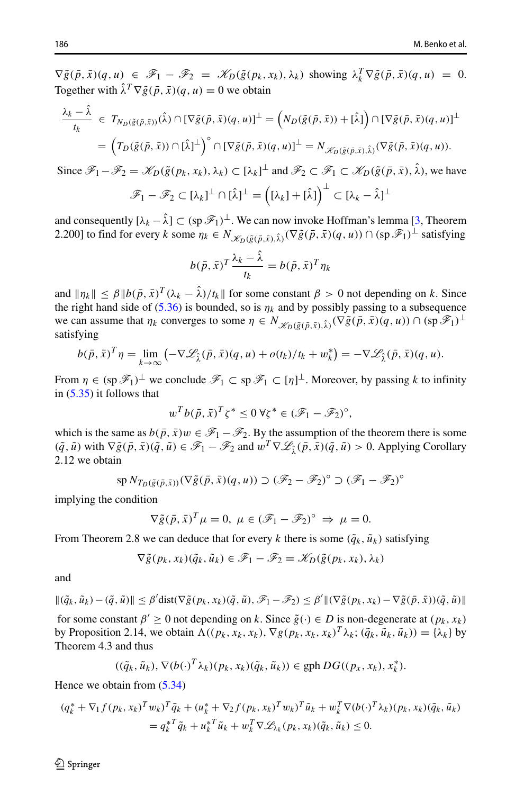$\nabla \tilde{g}(\bar{p}, \bar{x})(q, u) \in \mathscr{F}_1 - \mathscr{F}_2 = \mathscr{K}_D(\tilde{g}(p_k, x_k), \lambda_k)$  showing  $\lambda_k^T \nabla \tilde{g}(\bar{p}, \bar{x})(q, u) = 0.$ Together with  $\hat{\lambda}^T \nabla \tilde{g}(\bar{p}, \bar{x})(q, u) = 0$  we obtain

$$
\frac{\lambda_k - \hat{\lambda}}{t_k} \in T_{N_D(\tilde{g}(\bar{p}, \bar{x}))}(\hat{\lambda}) \cap [\nabla \tilde{g}(\bar{p}, \bar{x})(q, u)]^{\perp} = \left(N_D(\tilde{g}(\bar{p}, \bar{x})) + [\hat{\lambda}]\right) \cap [\nabla \tilde{g}(\bar{p}, \bar{x})(q, u)]^{\perp}
$$
\n
$$
= \left(T_D(\tilde{g}(\bar{p}, \bar{x})) \cap [\hat{\lambda}]^{\perp}\right)^{\circ} \cap [\nabla \tilde{g}(\bar{p}, \bar{x})(q, u)]^{\perp} = N_{\mathscr{K}_D(\tilde{g}(\bar{p}, \bar{x}), \hat{\lambda})}(\nabla \tilde{g}(\bar{p}, \bar{x})(q, u)).
$$
\nSince  $\mathscr{F}_1 - \mathscr{F}_2 - \mathscr{K}_D(\tilde{g}(p, x, \lambda) \cap [\lambda] \cap [\lambda] \perp^{\perp} \text{ and } \mathscr{F}_2 \subset \mathscr{F}_2 \subset \mathscr{K}_D(\tilde{g}(\bar{p}, \bar{x}), \hat{\lambda}) \text{ we have}$ 

Since  $\mathscr{F}_1 - \mathscr{F}_2 = \mathscr{K}_D(\tilde{g}(p_k, x_k), \lambda_k) \subset [\lambda_k]^{\perp}$  and  $\mathscr{F}_2 \subset \mathscr{F}_1 \subset \mathscr{K}_D(\tilde{g}(\tilde{p}, \tilde{x}), \lambda)$ , we have ⊥

$$
\mathscr{F}_1 - \mathscr{F}_2 \subset [\lambda_k]^{\perp} \cap [\hat{\lambda}]^{\perp} = ((\lambda_k) + [\hat{\lambda}])^{\perp} \subset [\lambda_k - \hat{\lambda}]^{\perp}
$$

and consequently  $[\lambda_k - \hat{\lambda}] \subset (\text{sp } \mathscr{F}_1)^{\perp}$ . We can now invoke Hoffman's lemma [\[3,](#page-25-23) Theorem 2.200] to find for every *k* some  $\eta_k \in N_{\mathscr{K}_D(\tilde{g}(\bar{p},\bar{x}),\hat{\lambda})}(\nabla \tilde{g}(\bar{p},\bar{x})(q,u)) \cap (\text{sp } \mathscr{F}_1)^{\perp}$  satisfying

$$
b(\bar{p}, \bar{x})^T \frac{\lambda_k - \hat{\lambda}}{t_k} = b(\bar{p}, \bar{x})^T \eta_k
$$

and  $\|\eta_k\| \leq \beta \|b(\bar{p}, \bar{x})^T (\lambda_k - \hat{\lambda})/t_k\|$  for some constant  $\beta > 0$  not depending on k. Since the right hand side of  $(5.36)$  is bounded, so is  $\eta_k$  and by possibly passing to a subsequence we can assume that  $\eta_k$  converges to some  $\eta \in N_{\mathcal{K}_D(\tilde{g}(\bar{p},\bar{x}),\hat{\lambda})}(\nabla \tilde{g}(\bar{p},\bar{x})(q,u)) \cap (\text{sp } \mathcal{F}_1)^{\perp}$ satisfying

$$
b(\bar{p}, \bar{x})^T \eta = \lim_{k \to \infty} \left( -\nabla \mathcal{L}_{\hat{\lambda}}(\bar{p}, \bar{x})(q, u) + o(t_k)/t_k + w_k^* \right) = -\nabla \mathcal{L}_{\hat{\lambda}}(\bar{p}, \bar{x})(q, u).
$$

From  $\eta \in (\text{sp } \mathscr{F}_1)^\perp$  we conclude  $\mathscr{F}_1 \subset \text{sp } \mathscr{F}_1 \subset [\eta]^\perp$ . Moreover, by passing *k* to infinity in [\(5.35\)](#page-18-1) it follows that

$$
w^T b(\bar{p}, \bar{x})^T \zeta^* \le 0 \,\forall \zeta^* \in (\mathscr{F}_1 - \mathscr{F}_2)^\circ,
$$

which is the same as  $b(\bar{p}, \bar{x})w \in \mathscr{F}_1 - \mathscr{F}_2$ . By the assumption of the theorem there is some  $(\tilde{q}, \tilde{u})$  with  $\nabla \tilde{g}(\bar{p}, \bar{x})(\tilde{q}, \tilde{u}) \in \mathcal{F}_1 - \mathcal{F}_2$  and  $w^T \nabla \mathcal{L}_{\hat{\lambda}}(\bar{p}, \bar{x})(\tilde{q}, \tilde{u}) > 0$ . Applying Corollary 2.12 we obtain

$$
\mathrm{sp} \, N_{T_D(\tilde{g}(\bar{p},\bar{x}))}(\nabla \tilde{g}(\bar{p},\bar{x})(q,u)) \supset (\mathscr{F}_2 - \mathscr{F}_2)^\circ \supset (\mathscr{F}_1 - \mathscr{F}_2)^\circ
$$

implying the condition

$$
\nabla \tilde{g}(\bar{p}, \bar{x})^T \mu = 0, \ \mu \in (\mathcal{F}_1 - \mathcal{F}_2)^\circ \implies \mu = 0.
$$

From Theorem 2.8 we can deduce that for every *k* there is some  $(\tilde{q}_k, \tilde{u}_k)$  satisfying

$$
\nabla \tilde{g}(p_k, x_k)(\tilde{q}_k, \tilde{u}_k) \in \mathscr{F}_1 - \mathscr{F}_2 = \mathscr{K}_D(\tilde{g}(p_k, x_k), \lambda_k)
$$

and

$$
\|(\tilde{q}_k, \tilde{u}_k) - (\tilde{q}, \tilde{u})\| \leq \beta' \text{dist}(\nabla \tilde{g}(p_k, x_k)(\tilde{q}, \tilde{u}), \mathscr{F}_1 - \mathscr{F}_2) \leq \beta' \|(\nabla \tilde{g}(p_k, x_k) - \nabla \tilde{g}(\bar{p}, \bar{x}))(\tilde{q}, \tilde{u})\|
$$

for some constant  $\beta' \geq 0$  not depending on *k*. Since  $\tilde{g}(\cdot) \in D$  is non-degenerate at  $(p_k, x_k)$ by Proposition 2.14, we obtain  $\Lambda((p_k, x_k, x_k), \nabla g(p_k, x_k, x_k)^T \lambda_k; (\tilde{q}_k, \tilde{u}_k, \tilde{u}_k)) = {\lambda_k}$  by Theorem 4.3 and thus

$$
((\tilde{q}_k, \tilde{u}_k), \nabla (b(\cdot)^T \lambda_k)(p_k, x_k)(\tilde{q}_k, \tilde{u}_k)) \in \text{gph } DG((p_x, x_k), x_k^*).
$$

Hence we obtain from [\(5.34\)](#page-18-2)

$$
(q_k^* + \nabla_1 f(p_k, x_k)^T w_k)^T \tilde{q}_k + (u_k^* + \nabla_2 f(p_k, x_k)^T w_k)^T \tilde{u}_k + w_k^T \nabla (b(\cdot)^T \lambda_k)(p_k, x_k) (\tilde{q}_k, \tilde{u}_k)
$$
  
=  $q_k^* \tilde{q}_k + u_k^* \tilde{u}_k + w_k^T \nabla \mathcal{L}_{\lambda_k}(p_k, x_k) (\tilde{q}_k, \tilde{u}_k) \le 0.$ 

 $\mathcal{D}$  Springer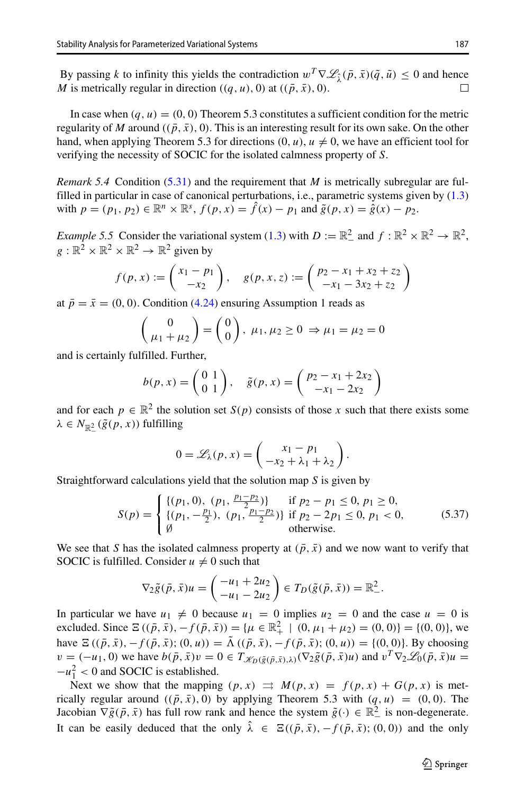By passing *k* to infinity this yields the contradiction  $w^T \nabla \mathcal{L}_{\hat{\lambda}}(\bar{p}, \bar{x})(\tilde{q}, \tilde{u}) \le 0$  and hence *M* is metrically regular in direction  $((a, u), 0)$  at  $((\bar{p}, \bar{x}), 0)$ . *M* is metrically regular in direction  $((q, u), 0)$  at  $((\bar{p}, \bar{x}), 0)$ .

In case when  $(q, u) = (0, 0)$  Theorem 5.3 constitutes a sufficient condition for the metric regularity of *M* around  $((\bar{p}, \bar{x}), 0)$ . This is an interesting result for its own sake. On the other hand, when applying Theorem 5.3 for directions  $(0, u)$ ,  $u \neq 0$ , we have an efficient tool for verifying the necessity of SOCIC for the isolated calmness property of *S*.

*Remark 5.4* Condition [\(5.31\)](#page-16-2) and the requirement that *M* is metrically subregular are fulfilled in particular in case of canonical perturbations, i.e., parametric systems given by [\(1.3\)](#page-2-2) with  $p = (p_1, p_2) \in \mathbb{R}^n \times \mathbb{R}^s$ ,  $f(p, x) = \hat{f}(x) - p_1$  and  $\tilde{g}(p, x) = \hat{g}(x) - p_2$ .

*Example 5.5* Consider the variational system [\(1.3\)](#page-2-2) with  $D := \mathbb{R}^2_-$  and  $f : \mathbb{R}^2 \times \mathbb{R}^2 \to \mathbb{R}^2$ ,<br>  $g : \mathbb{R}^2 \times \mathbb{R}^2 \times \mathbb{R}^2 \to \mathbb{R}^2$  given by<br>  $f(p, x) := \begin{pmatrix} x_1 - p_1 \\ -x_2 \end{pmatrix}, \quad g(p, x, z) := \begin{pmatrix} p_2 - x_1 + x_2$  $g : \mathbb{R}^2 \times \mathbb{R}^2 \times \mathbb{R}^2 \to \mathbb{R}^2$  given by

$$
f(p, x) := \begin{pmatrix} x_1 - p_1 \\ -x_2 \end{pmatrix}, \quad g(p, x, z) := \begin{pmatrix} p_2 - x_1 + x_2 + z_2 \\ -x_1 - 3x_2 + z_2 \end{pmatrix}
$$

at  $\bar{p} = \bar{x} = (0, 0)$ . Condition [\(4.24\)](#page-13-0) ensuring Assumption 1 reads as

$$
\begin{pmatrix} 0 \\ \mu_1 + \mu_2 \end{pmatrix} = \begin{pmatrix} 0 \\ 0 \end{pmatrix}, \ \mu_1, \ \mu_2 \ge 0 \ \Rightarrow \mu_1 = \mu_2 = 0
$$

and is certainly fulfilled. Further,

$$
\begin{pmatrix}\n0 \\
\mu_1 + \mu_2\n\end{pmatrix} = \begin{pmatrix}\n0 \\
0\n\end{pmatrix}, \ \mu_1, \ \mu_2 \ge 0 \Rightarrow \mu_1 = \mu_2 = 0
$$
\nfilled. Further,\n
$$
b(p, x) = \begin{pmatrix}\n0 & 1 \\
0 & 1\n\end{pmatrix}, \quad \tilde{g}(p, x) = \begin{pmatrix}\np_2 - x_1 + 2x_2 \\
-x_1 - 2x_2\n\end{pmatrix}
$$

and for each  $p \in \mathbb{R}^2$  the solution set  $S(p)$  consists of those *x* such that there exists some  $\lambda \in N_{\mathbb{R}_-^2}(\tilde{g}(p, x))$  fulfilling

$$
0 = \mathscr{L}_{\lambda}(p, x) = \begin{pmatrix} x_1 - p_1 \\ -x_2 + \lambda_1 + \lambda_2 \end{pmatrix}.
$$

Straightforward calculations yield that the solution map *S* is given by ⎩

<span id="page-20-0"></span>
$$
S(p) = \begin{cases} \{(p_1, 0), (p_1, \frac{p_1 - p_2}{2})\} & \text{if } p_2 - p_1 \le 0, p_1 \ge 0, \\ \{(p_1, -\frac{p_1}{2}), (p_1, \frac{p_1 - p_2}{2})\} & \text{if } p_2 - 2p_1 \le 0, p_1 < 0, \\ \emptyset & \text{otherwise.} \end{cases} \tag{5.37}
$$

We see that *S* has the isolated calmness property at  $(\bar{p}, \bar{x})$  and we now want to verify that SOCIC is fulfilled. Consider  $u \neq 0$  such that

$$
\nabla_2 \tilde{g}(\bar{p}, \bar{x}) u = \begin{pmatrix} -u_1 + 2u_2 \\ -u_1 - 2u_2 \end{pmatrix} \in T_D(\tilde{g}(\bar{p}, \bar{x})) = \mathbb{R}^2_-.
$$

In particular we have  $u_1 \neq 0$  because  $u_1 = 0$  implies  $u_2 = 0$  and the case  $u = 0$  is excluded. Since  $\Xi((\bar{p}, \bar{x}), -f(\bar{p}, \bar{x})) = {\mu \in \mathbb{R}^2_+ \mid (0, \mu_1 + \mu_2) = (0, 0)} = {(0, 0)},$  we have  $\Xi((\bar{p}, \bar{x}), -f(\bar{p}, \bar{x}); (0, u)) = \tilde{\Lambda}((\bar{p}, \bar{x}), -f(\bar{p}, \bar{x}); (0, u)) = \{(0, 0)\}.$  By choosing  $v = (-u_1, 0)$  we have  $b(\bar{p}, \bar{x})v = 0 \in T_{\mathscr{K}_D(\tilde{g}(\bar{p}, \bar{x}), \lambda)}(\nabla_2 \tilde{g}(\bar{p}, \bar{x})u)$  and  $v^T \nabla_2 \mathscr{L}_0(\bar{p}, \bar{x})u =$  $-u_1^2$  < 0 and SOCIC is established.

Next we show that the mapping  $(p, x) \implies M(p, x) = f(p, x) + G(p, x)$  is metrically regular around  $((\bar{p}, \bar{x}), 0)$  by applying Theorem 5.3 with  $(q, u) = (0, 0)$ . The Jacobian  $\nabla \tilde{g}(\bar{p}, \bar{x})$  has full row rank and hence the system  $\tilde{g}(\cdot) \in \mathbb{R}^2$  is non-degenerate. It can be easily deduced that the only  $\hat{\lambda} \in \Xi((\bar{p}, \bar{x}), -f(\bar{p}, \bar{x}); (0, 0))$  and the only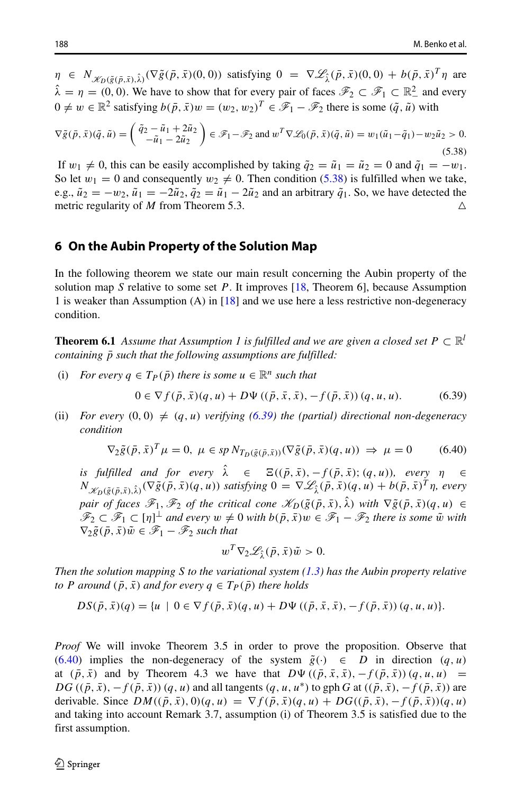$\eta \in N_{\mathcal{K}_D(\tilde{g}(\bar{p},\bar{x}),\hat{\lambda})}(\nabla \tilde{g}(\bar{p},\bar{x})(0,0))$  satisfying  $0 = \nabla \mathcal{L}_{\hat{\lambda}}(\bar{p},\bar{x})(0,0) + b(\bar{p},\bar{x})^T \eta$  are  $\hat{\lambda} = \eta = (0, 0)$ . We have to show that for every pair of faces  $\mathcal{F}_2 \subset \mathcal{F}_1 \subset \mathbb{R}^2$  and every  $0 \neq w \in \mathbb{R}^2$  satisfying  $b(\bar{p}, \bar{x})w = (w_2, w_2)^T \in \mathcal{F}_1 - \mathcal{F}_2$  there is some  $(\tilde{q}, \tilde{u})$  with

<span id="page-21-1"></span>
$$
\nabla \tilde{g}(\bar{p}, \bar{x})(\tilde{q}, \tilde{u}) = \begin{pmatrix} \tilde{q}_2 - \tilde{u}_1 + 2\tilde{u}_2 \\ -\tilde{u}_1 - 2\tilde{u}_2 \end{pmatrix} \in \mathscr{F}_1 - \mathscr{F}_2 \text{ and } w^T \nabla \mathscr{L}_0(\bar{p}, \bar{x})(\tilde{q}, \tilde{u}) = w_1(\tilde{u}_1 - \tilde{q}_1) - w_2 \tilde{u}_2 > 0. \tag{5.38}
$$

If  $w_1 \neq 0$ , this can be easily accomplished by taking  $\tilde{q}_2 = \tilde{u}_1 = \tilde{u}_2 = 0$  and  $\tilde{q}_1 = -w_1$ . So let  $w_1 = 0$  and consequently  $w_2 \neq 0$ . Then condition [\(5.38\)](#page-21-1) is fulfilled when we take, e.g.,  $\tilde{u}_2 = -w_2$ ,  $\tilde{u}_1 = -2\tilde{u}_2$ ,  $\tilde{q}_2 = \tilde{u}_1 - 2\tilde{u}_2$  and an arbitrary  $\tilde{q}_1$ . So, we have detected the metric regularity of *M* from Theorem 5.3. metric regularity of *M* from Theorem 5.3.

### <span id="page-21-0"></span>**6 On the Aubin Property of the Solution Map**

In the following theorem we state our main result concerning the Aubin property of the solution map *S* relative to some set *P*. It improves [\[18,](#page-25-10) Theorem 6], because Assumption 1 is weaker than Assumption (A) in [\[18\]](#page-25-10) and we use here a less restrictive non-degeneracy condition.

**Theorem 6.1** *Assume that Assumption 1 is fulfilled and we are given a closed set*  $P \subset \mathbb{R}^l$ *containing*  $\bar{p}$  *such that the following assumptions are fulfilled:* 

(i) *For every*  $q \in T_P(\bar{p})$  *there is some*  $u \in \mathbb{R}^n$  *such that* 

<span id="page-21-2"></span>
$$
0 \in \nabla f(\bar{p}, \bar{x})(q, u) + D\Psi ((\bar{p}, \bar{x}, \bar{x}), -f(\bar{p}, \bar{x})) (q, u, u).
$$
 (6.39)

(ii) *For every*  $(0,0) \neq (q, u)$  *verifying*  $(6.39)$  *the (partial) directional non-degeneracy condition*

<span id="page-21-3"></span>
$$
\nabla_2 \tilde{g}(\bar{p}, \bar{x})^T \mu = 0, \ \mu \in sp \ N_{T_D(\tilde{g}(\bar{p}, \bar{x}))}(\nabla \tilde{g}(\bar{p}, \bar{x})(q, u)) \implies \mu = 0 \tag{6.40}
$$

*is fulfilled and for every*  $\hat{\lambda} \in \mathbb{E}((\bar{p}, \bar{x}), -f(\bar{p}, \bar{x}); (q, u))$ *, every*  $\eta \in$  $N_{\mathscr{K}_D(\tilde{g}(\bar{p},\bar{x}),\hat{\lambda})}(\nabla \tilde{g}(\bar{p},\bar{x})(q,u))$  satisfying  $0 = \nabla \mathscr{L}_{\hat{\lambda}}(\bar{p},\bar{x})(q,u) + b(\bar{p},\bar{x})^T \eta$ , every *pair of faces*  $\mathscr{F}_1, \mathscr{F}_2$  *of the critical cone*  $\mathscr{K}_D(\tilde{g}(\bar{p},\bar{x}), \hat{\lambda})$  *with*  $\nabla \tilde{g}(\bar{p},\bar{x})(q, u) \in$  $\mathscr{F}_2 \subset \mathscr{F}_1 \subset [\eta]^{\perp}$  and every  $w \neq 0$  with  $b(\bar{p}, \bar{x})w \in \mathscr{F}_1 - \mathscr{F}_2$  there is some  $\tilde{w}$  with  $\nabla_2 \tilde{g}(\bar{p}, \bar{x}) \tilde{w} \in \mathscr{F}_1 - \mathscr{F}_2$  such that

$$
w^T \nabla_2 \mathscr{L}_{\hat{\lambda}}(\bar{p}, \bar{x}) \tilde{w} > 0.
$$

*Then the solution mapping S to the variational system [\(1.3\)](#page-2-2) has the Aubin property relative to P* around  $(\bar{p}, \bar{x})$  and for every  $q \in T_P(\bar{p})$  there holds

$$
DS(\bar{p}, \bar{x})(q) = \{u \mid 0 \in \nabla f(\bar{p}, \bar{x})(q, u) + D\Psi((\bar{p}, \bar{x}, \bar{x}), -f(\bar{p}, \bar{x})) (q, u, u)\}.
$$

*Proof* We will invoke Theorem 3.5 in order to prove the proposition. Observe that [\(6.40\)](#page-21-3) implies the non-degeneracy of the system  $\tilde{g}(\cdot) \in D$  in direction  $(q, u)$ at  $(\bar{p}, \bar{x})$  and by Theorem 4.3 we have that  $D\Psi((\bar{p}, \bar{x}, \bar{x}), -f(\bar{p}, \bar{x}))$   $(q, u, u)$  =  $DG((\bar{p}, \bar{x}), -f(\bar{p}, \bar{x}))$  *(q, u)* and all tangents  $(q, u, u^*)$  to gph *G* at  $((\bar{p}, \bar{x}), -f(\bar{p}, \bar{x}))$  are derivable. Since  $DM((\bar{p}, \bar{x}), 0)(q, u) = \nabla f(\bar{p}, \bar{x})(q, u) + DG((\bar{p}, \bar{x}), -f(\bar{p}, \bar{x}))(q, u)$ and taking into account Remark 3.7, assumption (i) of Theorem 3.5 is satisfied due to the first assumption.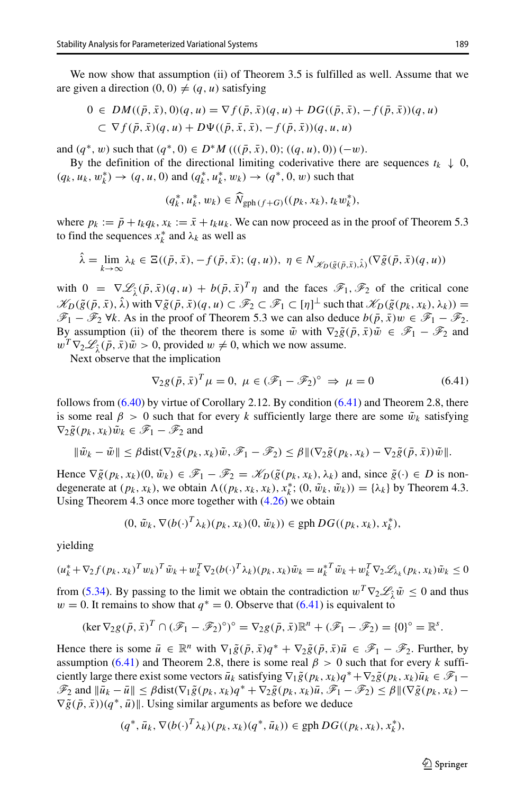We now show that assumption (ii) of Theorem 3.5 is fulfilled as well. Assume that we are given a direction  $(0, 0) \neq (q, u)$  satisfying

$$
0 \in DM((\bar{p}, \bar{x}), 0)(q, u) = \nabla f(\bar{p}, \bar{x})(q, u) + DG((\bar{p}, \bar{x}), -f(\bar{p}, \bar{x}))(q, u) \subset \nabla f(\bar{p}, \bar{x})(q, u) + D\Psi((\bar{p}, \bar{x}, \bar{x}), -f(\bar{p}, \bar{x}))(q, u, u)
$$

and  $(q^*, w)$  such that  $(q^*, 0) \in D^*M$   $(((\bar{p}, \bar{x}), 0); ((q, u), 0))(-w)$ .

By the definition of the directional limiting coderivative there are sequences  $t_k \downarrow 0$ , *(q<sub>k</sub>*, *u<sub>k</sub>*, *w*<sub> $k$ </sub><sup>\*</sup>) → *(q, u, 0)* and *(q<sub>k</sub>*<sup>\*</sup>, *u<sub>k</sub>*<sup>\*</sup>, *w<sub>k</sub>*) → *(q*<sup>\*</sup>, 0*, w*) such that *k i i i (q<sub>k</sub>*, *u<sub>k</sub>*, *w<sub>k</sub>*)  $\in \widehat{N}$ 

$$
(q_k^*, u_k^*, w_k) \in \tilde{N}_{\text{gph}(f+G)}((p_k, x_k), t_k w_k^*),
$$

where  $p_k := \bar{p} + t_k q_k$ ,  $x_k := \bar{x} + t_k u_k$ . We can now proceed as in the proof of Theorem 5.3 to find the sequences  $x_k^*$  and  $\lambda_k$  as well as

$$
\hat{\lambda} = \lim_{k \to \infty} \lambda_k \in \Xi((\bar{p}, \bar{x}), -f(\bar{p}, \bar{x}); (q, u)), \ \eta \in N_{\mathcal{K}_D(\tilde{g}(\bar{p}, \bar{x}), \hat{\lambda})}(\nabla \tilde{g}(\bar{p}, \bar{x})(q, u))
$$

with  $0 = \nabla \mathcal{L}_{\hat{\imath}}(\bar{p}, \bar{x})(q, u) + b(\bar{p}, \bar{x})^T \eta$  and the faces  $\mathcal{F}_1, \mathcal{F}_2$  of the critical cone  $\mathscr{K}_D(\tilde{g}(\bar{p},\bar{x}),\lambda)$  with  $\nabla \tilde{g}(\bar{p},\bar{x})(q,u) \subset \mathscr{F}_2 \subset \mathscr{F}_1 \subset [\eta]^{\perp}$  such that  $\mathscr{K}_D(\tilde{g}(p_k,x_k),\lambda_k)) =$  $\mathscr{F}_1 - \mathscr{F}_2$  ∀*k*. As in the proof of Theorem 5.3 we can also deduce  $b(\bar{p}, \bar{x})w \in \mathscr{F}_1 - \mathscr{F}_2$ . By assumption (ii) of the theorem there is some  $\tilde{w}$  with  $\nabla_2 \tilde{g}(\bar{p}, \bar{x}) \tilde{w} \in \mathscr{F}_1 - \mathscr{F}_2$  and  $w^T \nabla_2 \mathcal{L}_{\hat{\imath}}(\bar{p}, \bar{x}) \tilde{w} > 0$ , provided  $w \neq 0$ , which we now assume.

Next observe that the implication

<span id="page-22-0"></span>
$$
\nabla_2 g(\bar{p}, \bar{x})^T \mu = 0, \ \mu \in (\mathcal{F}_1 - \mathcal{F}_2)^\circ \implies \mu = 0 \tag{6.41}
$$

follows from  $(6.40)$  by virtue of Corollary 2.12. By condition  $(6.41)$  and Theorem 2.8, there is some real  $\beta > 0$  such that for every k sufficiently large there are some  $\tilde{w}_k$  satisfying  $\nabla_2 \tilde{g}(p_k, x_k) \tilde{w}_k \in \mathscr{F}_1 - \mathscr{F}_2$  and

$$
\|\tilde{w}_k - \tilde{w}\| \leq \beta \text{dist}(\nabla_2 \tilde{g}(p_k, x_k)\tilde{w}, \mathscr{F}_1 - \mathscr{F}_2) \leq \beta \|(\nabla_2 \tilde{g}(p_k, x_k) - \nabla_2 \tilde{g}(\bar{p}, \bar{x}))\tilde{w}\|.
$$

Hence  $\nabla \tilde{g}(p_k, x_k)(0, \tilde{w}_k) \in \mathscr{F}_1 - \mathscr{F}_2 = \mathscr{K}_D(\tilde{g}(p_k, x_k), \lambda_k)$  and, since  $\tilde{g}(\cdot) \in D$  is nondegenerate at  $(p_k, x_k)$ , we obtain  $\Lambda((p_k, x_k, x_k), x_k^*; (0, \tilde{w}_k, \tilde{w}_k)) = {\lambda_k}$  by Theorem 4.3. Using Theorem 4.3 once more together with [\(4.26\)](#page-14-0) we obtain

$$
(0, \tilde{w}_k, \nabla (b(\cdot)^T \lambda_k)(p_k, x_k)(0, \tilde{w}_k)) \in \text{gph } DG((p_k, x_k), x_k^*),
$$

yielding

$$
(u_k^* + \nabla_2 f(p_k, x_k)^T w_k)^T \tilde{w}_k + w_k^T \nabla_2 (b(\cdot)^T \lambda_k)(p_k, x_k) \tilde{w}_k = u_k^* \tilde{w}_k + w_k^T \nabla_2 \mathcal{L}_{\lambda_k}(p_k, x_k) \tilde{w}_k \le 0
$$

from [\(5.34\)](#page-18-2). By passing to the limit we obtain the contradiction  $w^T \nabla_2 \mathcal{L}_\gamma \tilde{w} \leq 0$  and thus *w* = 0. It remains to show that  $q^* = 0$ . Observe that [\(6.41\)](#page-22-0) is equivalent to

$$
(\ker \nabla_2 g(\bar{p}, \bar{x})^T \cap (\mathscr{F}_1 - \mathscr{F}_2)^{\circ})^{\circ} = \nabla_2 g(\bar{p}, \bar{x}) \mathbb{R}^n + (\mathscr{F}_1 - \mathscr{F}_2) = \{0\}^{\circ} = \mathbb{R}^s.
$$

Hence there is some  $\bar{u} \in \mathbb{R}^n$  with  $\nabla_1 \tilde{g}(\bar{p}, \bar{x})q^* + \nabla_2 \tilde{g}(\bar{p}, \bar{x})\bar{u} \in \mathcal{F}_1 - \mathcal{F}_2$ . Further, by assumption [\(6.41\)](#page-22-0) and Theorem 2.8, there is some real  $\beta > 0$  such that for every *k* sufficiently large there exist some vectors  $\bar{u}_k$  satisfying  $\nabla_1 \tilde{g}(p_k, x_k)q^* + \nabla_2 \tilde{g}(p_k, x_k)\bar{u}_k \in \mathcal{F}_1$  $\mathscr{F}_2$  and  $\|\bar{u}_k - \bar{u}\| \leq \beta \text{dist}(\nabla_1 \tilde{g}(p_k, x_k)q^* + \nabla_2 \tilde{g}(p_k, x_k)\bar{u}, \mathscr{F}_1 - \mathscr{F}_2) \leq \beta \|\nabla \tilde{g}(p_k, x_k) - \mathscr{F}_2\|$  $\nabla \tilde{g}(\bar{p}, \bar{x})$ )( $q^*, \bar{u}$ )||. Using similar arguments as before we deduce

$$
(q^*, \bar{u}_k, \nabla(b(\cdot)^T \lambda_k)(p_k, x_k)(q^*, \bar{u}_k)) \in \text{gph } DG((p_k, x_k), x_k^*),
$$

 $\textcircled{2}$  Springer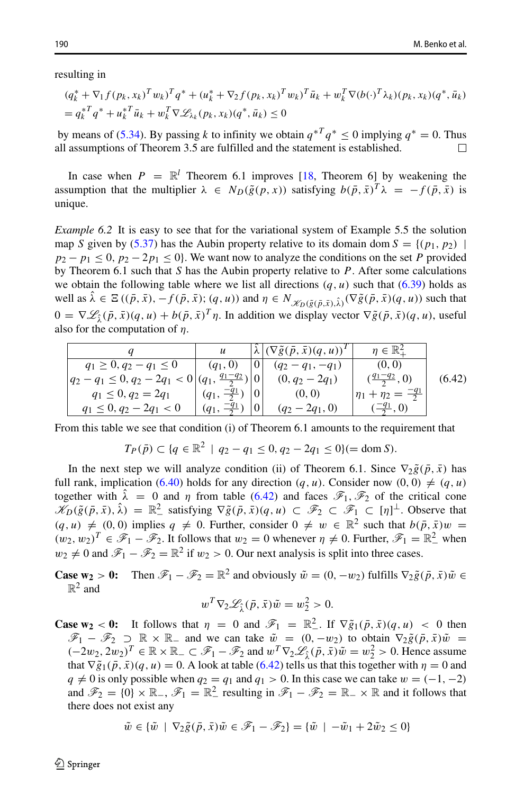resulting in

$$
(q_k^* + \nabla_1 f(p_k, x_k)^T w_k)^T q^* + (u_k^* + \nabla_2 f(p_k, x_k)^T w_k)^T \bar{u}_k + w_k^T \nabla (b(\cdot)^T \lambda_k)(p_k, x_k) (q^*, \bar{u}_k)
$$
  
=  $q_k^{*T} q^* + u_k^{*T} \bar{u}_k + w_k^T \nabla \mathcal{L}_{\lambda_k}(p_k, x_k) (q^*, \bar{u}_k) \le 0$ 

by means of [\(5.34\)](#page-18-2). By passing *k* to infinity we obtain  $q^{*T}q^* \le 0$  implying  $q^* = 0$ . Thus all assumptions of Theorem 3.5 are fulfilled and the statement is established. all assumptions of Theorem 3.5 are fulfilled and the statement is established.

In case when  $P = \mathbb{R}^l$  Theorem 6.1 improves [\[18,](#page-25-10) Theorem 6] by weakening the assumption that the multiplier  $\lambda \in N_D(\tilde{g}(p, x))$  satisfying  $b(\bar{p}, \bar{x})^T \lambda = -f(\bar{p}, \bar{x})$  is unique.

*Example 6.2* It is easy to see that for the variational system of Example 5.5 the solution map *S* given by [\(5.37\)](#page-20-0) has the Aubin property relative to its domain dom  $S = \{(p_1, p_2)$  $p_2 - p_1 \le 0$ ,  $p_2 - 2p_1 \le 0$ . We want now to analyze the conditions on the set *P* provided by Theorem 6.1 such that *S* has the Aubin property relative to *P*. After some calculations we obtain the following table where we list all directions  $(q, u)$  such that  $(6.39)$  holds as well as  $\hat{\lambda} \in \Xi((\bar{p}, \bar{x}), -f(\bar{p}, \bar{x}); (q, u))$  and  $\eta \in N_{\mathscr{K}_D(\tilde{g}(\bar{p}, \bar{x}), \hat{\lambda})}(\nabla \tilde{g}(\bar{p}, \bar{x})(q, u))$  such that  $0 = \nabla \mathcal{L}_{\hat{\imath}}(\bar{p}, \bar{x})(q, u) + b(\bar{p}, \bar{x})^T \eta$ . In addition we display vector  $\nabla \tilde{g}(\bar{p}, \bar{x})(q, u)$ , useful also for the computation of *η*.

<span id="page-23-0"></span>

|                                                          | $\boldsymbol{u}$        |                | $\left \tilde{\lambda}\right  (\nabla \tilde{g}(\bar{p}, \bar{x})(q, u))^T$ | $\eta \in \mathbb{R}^2_+$            |        |
|----------------------------------------------------------|-------------------------|----------------|-----------------------------------------------------------------------------|--------------------------------------|--------|
| $q_1 \geq 0, q_2 - q_1 \leq 0$                           | $(q_1, 0)$              | $\overline{0}$ | $(q_2 - q_1, -q_1)$                                                         | (0, 0)                               |        |
| $ q_2-q_1\leq 0, q_2-2q_1<0 (q_1, \frac{q_1-q_2}{2}) 0 $ |                         |                | $(0, q_2 - 2q_1)$                                                           | $(\frac{q_1-q_2}{2}, 0)$             | (6.42) |
| $q_1 \leq 0, q_2 = 2q_1$                                 | $(q_1, \frac{-q_1}{2})$ | 0              | (0, 0)                                                                      | $ \eta_1 + \eta_2 = \frac{-q_1}{2} $ |        |
| $q_1 \leq 0, q_2 - 2q_1 < 0$                             | $(q_1, \frac{-q_1}{2})$ | 0              | $(q_2-2q_1,0)$                                                              | $(\frac{-q_1}{2}, 0)$                |        |

From this table we see that condition (i) of Theorem 6.1 amounts to the requirement that

$$
T_P(\bar{p}) \subset \{q \in \mathbb{R}^2 \mid q_2 - q_1 \le 0, q_2 - 2q_1 \le 0\} (= \text{dom } S).
$$

In the next step we will analyze condition (ii) of Theorem 6.1. Since  $\nabla_2 \tilde{g}(\bar{p}, \bar{x})$  has full rank, implication [\(6.40\)](#page-21-3) holds for any direction  $(q, u)$ . Consider now  $(0, 0) \neq (q, u)$ together with  $\hat{\lambda} = 0$  and *η* from table [\(6.42\)](#page-23-0) and faces  $\mathscr{F}_1, \mathscr{F}_2$  of the critical cone  $\mathscr{K}_D(\tilde{g}(\bar{p},\bar{x}),\hat{\lambda}) = \mathbb{R}^2$  satisfying  $\nabla \tilde{g}(\bar{p},\bar{x})(q,u) \subset \mathscr{F}_2 \subset \mathscr{F}_1 \subset [\eta]^{\perp}$ . Observe that  $(q, u) \neq (0, 0)$  implies  $q \neq 0$ . Further, consider  $0 \neq w \in \mathbb{R}^2$  such that  $b(\bar{p}, \bar{x})w =$  $(w_2, w_2)^T \in \mathcal{F}_1 - \mathcal{F}_2$ . It follows that  $w_2 = 0$  whenever  $\eta \neq 0$ . Further,  $\mathcal{F}_1 = \mathbb{R}^2$  when  $w_2 \neq 0$  and  $\mathscr{F}_1 - \mathscr{F}_2 = \mathbb{R}^2$  if  $w_2 > 0$ . Our next analysis is split into three cases.

**Case**  $w_2 > 0$ **:** Then  $\mathcal{F}_1 - \mathcal{F}_2 = \mathbb{R}^2$  and obviously  $\tilde{w} = (0, -w_2)$  fulfills  $\nabla_2 \tilde{g}(\bar{p}, \bar{x}) \tilde{w} \in$  $\mathbb{R}^2$  and

$$
w^T \nabla_2 \mathscr{L}_{\hat{\lambda}}(\bar{p}, \bar{x}) \tilde{w} = w_2^2 > 0.
$$

**Case w<sub>2</sub>** < **0:** It follows that  $\eta = 0$  and  $\mathscr{F}_1 = \mathbb{R}^2$ . If  $\nabla \tilde{g}_1(\bar{p}, \bar{x})(q, u) < 0$  then  $\mathscr{F}_1 - \mathscr{F}_2 \supset \mathbb{R} \times \mathbb{R}$  and we can take  $\tilde{w} = (0, -w_2)$  to obtain  $\nabla_2 \tilde{g}(\bar{p}, \bar{x}) \tilde{w} =$  $(-2w_2, 2w_2)^T$  ∈ R × R<sub>−</sub> ⊂  $\mathscr{F}_1 - \mathscr{F}_2$  and  $w^T \nabla_2 \mathscr{L}_{\hat{\lambda}}(\bar{p}, \bar{x})\tilde{w} = w_2^2 > 0$ . Hence assume that  $\nabla \tilde{g}_1(\bar{p}, \bar{x})(q, u) = 0$ . A look at table [\(6.42\)](#page-23-0) tells us that this together with  $\eta = 0$  and  $q \neq 0$  is only possible when  $q_2 = q_1$  and  $q_1 > 0$ . In this case we can take  $w = (-1, -2)$ and  $\mathscr{F}_2 = \{0\} \times \mathbb{R}_-, \mathscr{F}_1 = \mathbb{R}^2_-$  resulting in  $\mathscr{F}_1 - \mathscr{F}_2 = \mathbb{R}_- \times \mathbb{R}$  and it follows that there does not exist any

$$
\tilde{w} \in \{\tilde{w} \mid \nabla_2 \tilde{g}(\bar{p}, \bar{x})\tilde{w} \in \mathscr{F}_1 - \mathscr{F}_2\} = \{\tilde{w} \mid -\tilde{w}_1 + 2\tilde{w}_2 \le 0\}
$$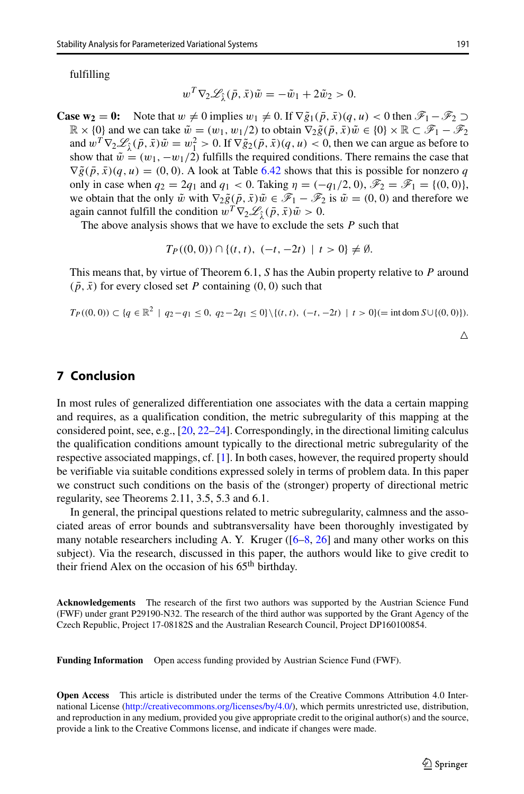fulfilling

$$
w^T \nabla_2 \mathscr{L}_{\hat{\lambda}}(\bar{p}, \bar{x}) \tilde{w} = -\tilde{w}_1 + 2\tilde{w}_2 > 0.
$$

**Case**  $w_2 = 0$ **:** Note that  $w \neq 0$  implies  $w_1 \neq 0$ . If  $\nabla \tilde{g}_1(\bar{p}, \bar{x})(q, u) < 0$  then  $\mathscr{F}_1 - \mathscr{F}_2 \supset$  $\mathbb{R} \times \{0\}$  and we can take  $\tilde{w} = (w_1, w_1/2)$  to obtain  $\nabla_2 \tilde{g}(\bar{p}, \bar{x}) \tilde{w} \in \{0\} \times \mathbb{R} \subset \mathscr{F}_1 - \mathscr{F}_2$ and  $w^T \nabla_2 \mathcal{L}_{\hat{\lambda}}(\bar{p}, \bar{x}) \tilde{w} = w_1^2 > 0$ . If  $\nabla \tilde{g}_2(\bar{p}, \bar{x})(q, u) < 0$ , then we can argue as before to show that  $\tilde{w} = (w_1, -w_1/2)$  fulfills the required conditions. There remains the case that  $\nabla \tilde{g}(\bar{p}, \bar{x})(q, u) = (0, 0)$ . A look at Table [6.42](#page-23-0) shows that this is possible for nonzero *q* only in case when  $q_2 = 2q_1$  and  $q_1 < 0$ . Taking  $\eta = (-q_1/2, 0)$ ,  $\mathscr{F}_2 = \mathscr{F}_1 = \{(0, 0)\},$ we obtain that the only  $\tilde{w}$  with  $\nabla_2 \tilde{g}(\bar{p}, \bar{x}) \tilde{w} \in \mathcal{F}_1 - \mathcal{F}_2$  is  $\tilde{w} = (0, 0)$  and therefore we again cannot fulfill the condition  $w^T \nabla_2 \mathcal{L}_\lambda(\bar{p}, \bar{x}) \tilde{w} > 0$ .

The above analysis shows that we have to exclude the sets *P* such that

$$
T_P((0,0)) \cap \{(t,t), (-t, -2t) \mid t > 0\} \neq \emptyset.
$$

This means that, by virtue of Theorem 6.1, *S* has the Aubin property relative to *P* around  $(\bar{p}, \bar{x})$  for every closed set *P* containing (0, 0) such that

$$
T_P((0,0)) \subset \{q \in \mathbb{R}^2 \mid q_2 - q_1 \le 0, \ q_2 - 2q_1 \le 0\} \setminus \{(t,t), \ (-t, -2t) \mid t > 0\} (= \text{int dom } S \cup \{(0,0)\}).
$$

Δ

## **7 Conclusion**

In most rules of generalized differentiation one associates with the data a certain mapping and requires, as a qualification condition, the metric subregularity of this mapping at the considered point, see, e.g., [\[20,](#page-25-17) [22–](#page-25-26)[24\]](#page-25-18). Correspondingly, in the directional limiting calculus the qualification conditions amount typically to the directional metric subregularity of the respective associated mappings, cf. [\[1\]](#page-25-5). In both cases, however, the required property should be verifiable via suitable conditions expressed solely in terms of problem data. In this paper we construct such conditions on the basis of the (stronger) property of directional metric regularity, see Theorems 2.11, 3.5, 5.3 and 6.1.

In general, the principal questions related to metric subregularity, calmness and the associated areas of error bounds and subtransversality have been thoroughly investigated by many notable researchers including A. Y. Kruger  $([6–8, 26]$  $([6–8, 26]$  $([6–8, 26]$  $([6–8, 26]$  $([6–8, 26]$  and many other works on this subject). Via the research, discussed in this paper, the authors would like to give credit to their friend Alex on the occasion of his 65<sup>th</sup> birthday.

**Acknowledgements** The research of the first two authors was supported by the Austrian Science Fund (FWF) under grant P29190-N32. The research of the third author was supported by the Grant Agency of the Czech Republic, Project 17-08182S and the Australian Research Council, Project DP160100854.

**Funding Information** Open access funding provided by Austrian Science Fund (FWF).

**Open Access** This article is distributed under the terms of the Creative Commons Attribution 4.0 International License [\(http://creativecommons.org/licenses/by/4.0/\)](http://creativecommons.org/licenses/by/4.0/), which permits unrestricted use, distribution, and reproduction in any medium, provided you give appropriate credit to the original author(s) and the source, provide a link to the Creative Commons license, and indicate if changes were made.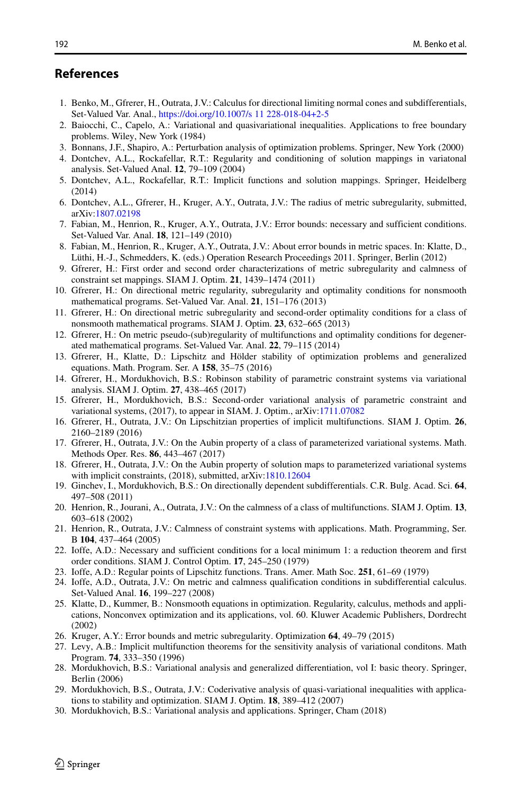# **References**

- <span id="page-25-5"></span>1. Benko, M., Gfrerer, H., Outrata, J.V.: Calculus for directional limiting normal cones and subdifferentials, Set-Valued Var. Anal., <https://doi.org/10.1007/s 11 228-018-04+2-5>
- <span id="page-25-14"></span>2. Baiocchi, C., Capelo, A.: Variational and quasivariational inequalities. Applications to free boundary problems. Wiley, New York (1984)
- <span id="page-25-23"></span>3. Bonnans, J.F., Shapiro, A.: Perturbation analysis of optimization problems. Springer, New York (2000)
- <span id="page-25-13"></span>4. Dontchev, A.L., Rockafellar, R.T.: Regularity and conditioning of solution mappings in variatonal analysis. Set-Valued Anal. **12**, 79–109 (2004)
- <span id="page-25-0"></span>5. Dontchev, A.L., Rockafellar, R.T.: Implicit functions and solution mappings. Springer, Heidelberg (2014)
- <span id="page-25-20"></span>6. Dontchev, A.L., Gfrerer, H., Kruger, A.Y., Outrata, J.V.: The radius of metric subregularity, submitted, arXiv[:1807.02198](http://arXiv.org/abs/1807.02198)
- <span id="page-25-15"></span>7. Fabian, M., Henrion, R., Kruger, A.Y., Outrata, J.V.: Error bounds: necessary and sufficient conditions. Set-Valued Var. Anal. **18**, 121–149 (2010)
- <span id="page-25-27"></span>8. Fabian, M., Henrion, R., Kruger, A.Y., Outrata, J.V.: About error bounds in metric spaces. In: Klatte, D., Lüthi, H.-J., Schmedders, K. (eds.) Operation Research Proceedings 2011. Springer, Berlin (2012)
- <span id="page-25-6"></span>9. Gfrerer, H.: First order and second order characterizations of metric subregularity and calmness of constraint set mappings. SIAM J. Optim. **21**, 1439–1474 (2011)
- <span id="page-25-21"></span>10. Gfrerer, H.: On directional metric regularity, subregularity and optimality conditions for nonsmooth mathematical programs. Set-Valued Var. Anal. **21**, 151–176 (2013)
- 11. Gfrerer, H.: On directional metric subregularity and second-order optimality conditions for a class of nonsmooth mathematical programs. SIAM J. Optim. **23**, 632–665 (2013)
- <span id="page-25-16"></span>12. Gfrerer, H.: On metric pseudo-(sub)regularity of multifunctions and optimality conditions for degenerated mathematical programs. Set-Valued Var. Anal. **22**, 79–115 (2014)
- <span id="page-25-7"></span>13. Gfrerer, H., Klatte, D.: Lipschitz and Hölder stability of optimization problems and generalized equations. Math. Program. Ser. A **158**, 35–75 (2016)
- <span id="page-25-22"></span>14. Gfrerer, H., Mordukhovich, B.S.: Robinson stability of parametric constraint systems via variational analysis. SIAM J. Optim. **27**, 438–465 (2017)
- <span id="page-25-8"></span>15. Gfrerer, H., Mordukhovich, B.S.: Second-order variational analysis of parametric constraint and variational systems, (2017), to appear in SIAM. J. Optim., arXiv[:1711.07082](http://arXiv.org/abs/1711.07082)
- <span id="page-25-9"></span>16. Gfrerer, H., Outrata, J.V.: On Lipschitzian properties of implicit multifunctions. SIAM J. Optim. **26**, 2160–2189 (2016)
- <span id="page-25-11"></span>17. Gfrerer, H., Outrata, J.V.: On the Aubin property of a class of parameterized variational systems. Math. Methods Oper. Res. **86**, 443–467 (2017)
- <span id="page-25-10"></span>18. Gfrerer, H., Outrata, J.V.: On the Aubin property of solution maps to parameterized variational systems with implicit constraints, (2018), submitted, arXiv[:1810.12604](http://arXiv.org/abs/1810.12604)
- <span id="page-25-4"></span>19. Ginchev, I., Mordukhovich, B.S.: On directionally dependent subdifferentials. C.R. Bulg. Acad. Sci. **64**, 497–508 (2011)
- <span id="page-25-17"></span>20. Henrion, R., Jourani, A., Outrata, J.V.: On the calmness of a class of multifunctions. SIAM J. Optim. **13**, 603–618 (2002)
- <span id="page-25-25"></span>21. Henrion, R., Outrata, J.V.: Calmness of constraint systems with applications. Math. Programming, Ser. B **104**, 437–464 (2005)
- <span id="page-25-26"></span>22. Ioffe, A.D.: Necessary and sufficient conditions for a local minimum 1: a reduction theorem and first order conditions. SIAM J. Control Optim. **17**, 245–250 (1979)
- 23. Ioffe, A.D.: Regular points of Lipschitz functions. Trans. Amer. Math Soc. **251**, 61–69 (1979)
- <span id="page-25-18"></span>24. Ioffe, A.D., Outrata, J.V.: On metric and calmness qualification conditions in subdifferential calculus. Set-Valued Anal. **16**, 199–227 (2008)
- <span id="page-25-1"></span>25. Klatte, D., Kummer, B.: Nonsmooth equations in optimization. Regularity, calculus, methods and applications, Nonconvex optimization and its applications, vol. 60. Kluwer Academic Publishers, Dordrecht (2002)
- <span id="page-25-19"></span>26. Kruger, A.Y.: Error bounds and metric subregularity. Optimization **64**, 49–79 (2015)
- <span id="page-25-24"></span>27. Levy, A.B.: Implicit multifunction theorems for the sensitivity analysis of variational conditons. Math Program. **74**, 333–350 (1996)
- <span id="page-25-2"></span>28. Mordukhovich, B.S.: Variational analysis and generalized differentiation, vol I: basic theory. Springer, Berlin (2006)
- <span id="page-25-12"></span>29. Mordukhovich, B.S., Outrata, J.V.: Coderivative analysis of quasi-variational inequalities with applications to stability and optimization. SIAM J. Optim. **18**, 389–412 (2007)
- <span id="page-25-3"></span>30. Mordukhovich, B.S.: Variational analysis and applications. Springer, Cham (2018)